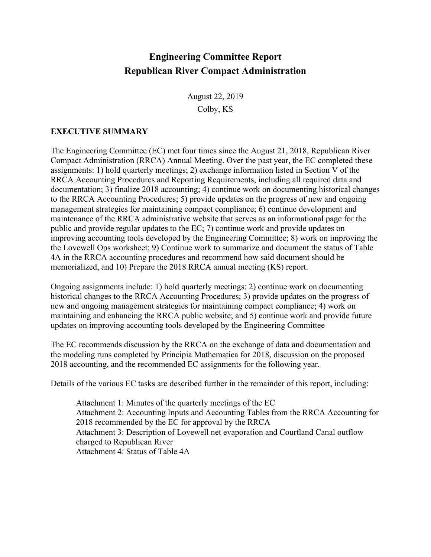## **Engineering Committee Report Republican River Compact Administration**

August 22, 2019 Colby, KS

## **EXECUTIVE SUMMARY**

The Engineering Committee (EC) met four times since the August 21, 2018, Republican River Compact Administration (RRCA) Annual Meeting. Over the past year, the EC completed these assignments: 1) hold quarterly meetings; 2) exchange information listed in Section V of the RRCA Accounting Procedures and Reporting Requirements, including all required data and documentation; 3) finalize 2018 accounting; 4) continue work on documenting historical changes to the RRCA Accounting Procedures; 5) provide updates on the progress of new and ongoing management strategies for maintaining compact compliance; 6) continue development and maintenance of the RRCA administrative website that serves as an informational page for the public and provide regular updates to the EC; 7) continue work and provide updates on improving accounting tools developed by the Engineering Committee; 8) work on improving the the Lovewell Ops worksheet; 9) Continue work to summarize and document the status of Table 4A in the RRCA accounting procedures and recommend how said document should be memorialized, and 10) Prepare the 2018 RRCA annual meeting (KS) report.

Ongoing assignments include: 1) hold quarterly meetings; 2) continue work on documenting historical changes to the RRCA Accounting Procedures; 3) provide updates on the progress of new and ongoing management strategies for maintaining compact compliance; 4) work on maintaining and enhancing the RRCA public website; and 5) continue work and provide future updates on improving accounting tools developed by the Engineering Committee

The EC recommends discussion by the RRCA on the exchange of data and documentation and the modeling runs completed by Principia Mathematica for 2018, discussion on the proposed 2018 accounting, and the recommended EC assignments for the following year.

Details of the various EC tasks are described further in the remainder of this report, including:

Attachment 1: Minutes of the quarterly meetings of the EC Attachment 2: Accounting Inputs and Accounting Tables from the RRCA Accounting for 2018 recommended by the EC for approval by the RRCA Attachment 3: Description of Lovewell net evaporation and Courtland Canal outflow charged to Republican River Attachment 4: Status of Table 4A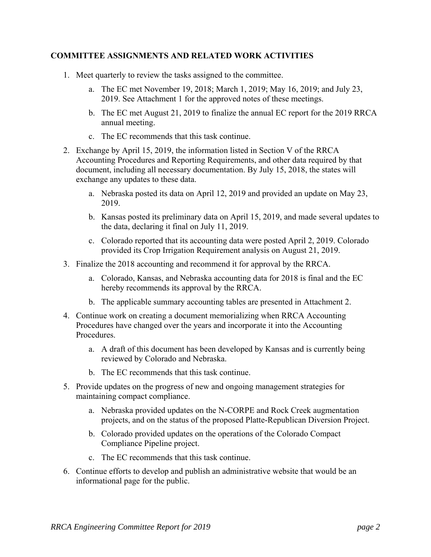## **COMMITTEE ASSIGNMENTS AND RELATED WORK ACTIVITIES**

- 1. Meet quarterly to review the tasks assigned to the committee.
	- a. The EC met November 19, 2018; March 1, 2019; May 16, 2019; and July 23, 2019. See Attachment 1 for the approved notes of these meetings.
	- b. The EC met August 21, 2019 to finalize the annual EC report for the 2019 RRCA annual meeting.
	- c. The EC recommends that this task continue.
- 2. Exchange by April 15, 2019, the information listed in Section V of the RRCA Accounting Procedures and Reporting Requirements, and other data required by that document, including all necessary documentation. By July 15, 2018, the states will exchange any updates to these data.
	- a. Nebraska posted its data on April 12, 2019 and provided an update on May 23, 2019.
	- b. Kansas posted its preliminary data on April 15, 2019, and made several updates to the data, declaring it final on July 11, 2019.
	- c. Colorado reported that its accounting data were posted April 2, 2019. Colorado provided its Crop Irrigation Requirement analysis on August 21, 2019.
- 3. Finalize the 2018 accounting and recommend it for approval by the RRCA.
	- a. Colorado, Kansas, and Nebraska accounting data for 2018 is final and the EC hereby recommends its approval by the RRCA.
	- b. The applicable summary accounting tables are presented in Attachment 2.
- 4. Continue work on creating a document memorializing when RRCA Accounting Procedures have changed over the years and incorporate it into the Accounting Procedures.
	- a. A draft of this document has been developed by Kansas and is currently being reviewed by Colorado and Nebraska.
	- b. The EC recommends that this task continue.
- 5. Provide updates on the progress of new and ongoing management strategies for maintaining compact compliance.
	- a. Nebraska provided updates on the N-CORPE and Rock Creek augmentation projects, and on the status of the proposed Platte-Republican Diversion Project.
	- b. Colorado provided updates on the operations of the Colorado Compact Compliance Pipeline project.
	- c. The EC recommends that this task continue.
- 6. Continue efforts to develop and publish an administrative website that would be an informational page for the public.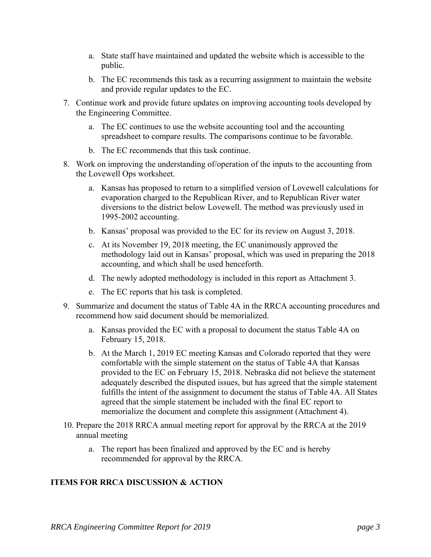- a. State staff have maintained and updated the website which is accessible to the public.
- b. The EC recommends this task as a recurring assignment to maintain the website and provide regular updates to the EC.
- 7. Continue work and provide future updates on improving accounting tools developed by the Engineering Committee.
	- a. The EC continues to use the website accounting tool and the accounting spreadsheet to compare results. The comparisons continue to be favorable.
	- b. The EC recommends that this task continue.
- 8. Work on improving the understanding of/operation of the inputs to the accounting from the Lovewell Ops worksheet.
	- a. Kansas has proposed to return to a simplified version of Lovewell calculations for evaporation charged to the Republican River, and to Republican River water diversions to the district below Lovewell. The method was previously used in 1995-2002 accounting.
	- b. Kansas' proposal was provided to the EC for its review on August 3, 2018.
	- c. At its November 19, 2018 meeting, the EC unanimously approved the methodology laid out in Kansas' proposal, which was used in preparing the 2018 accounting, and which shall be used henceforth.
	- d. The newly adopted methodology is included in this report as Attachment 3.
	- e. The EC reports that his task is completed.
- 9. Summarize and document the status of Table 4A in the RRCA accounting procedures and recommend how said document should be memorialized.
	- a. Kansas provided the EC with a proposal to document the status Table 4A on February 15, 2018.
	- b. At the March 1, 2019 EC meeting Kansas and Colorado reported that they were comfortable with the simple statement on the status of Table 4A that Kansas provided to the EC on February 15, 2018. Nebraska did not believe the statement adequately described the disputed issues, but has agreed that the simple statement fulfills the intent of the assignment to document the status of Table 4A. All States agreed that the simple statement be included with the final EC report to memorialize the document and complete this assignment (Attachment 4).
- 10. Prepare the 2018 RRCA annual meeting report for approval by the RRCA at the 2019 annual meeting
	- a. The report has been finalized and approved by the EC and is hereby recommended for approval by the RRCA.

## **ITEMS FOR RRCA DISCUSSION & ACTION**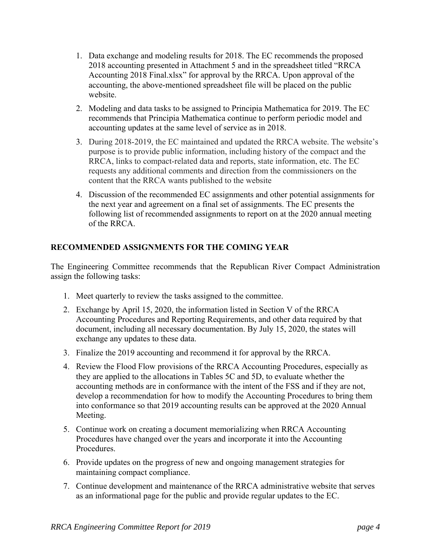- 1. Data exchange and modeling results for 2018. The EC recommends the proposed 2018 accounting presented in Attachment 5 and in the spreadsheet titled "RRCA Accounting 2018 Final.xlsx" for approval by the RRCA. Upon approval of the accounting, the above-mentioned spreadsheet file will be placed on the public website.
- 2. Modeling and data tasks to be assigned to Principia Mathematica for 2019. The EC recommends that Principia Mathematica continue to perform periodic model and accounting updates at the same level of service as in 2018.
- 3. During 2018-2019, the EC maintained and updated the RRCA website. The website's purpose is to provide public information, including history of the compact and the RRCA, links to compact-related data and reports, state information, etc. The EC requests any additional comments and direction from the commissioners on the content that the RRCA wants published to the website
- 4. Discussion of the recommended EC assignments and other potential assignments for the next year and agreement on a final set of assignments. The EC presents the following list of recommended assignments to report on at the 2020 annual meeting of the RRCA.

## **RECOMMENDED ASSIGNMENTS FOR THE COMING YEAR**

The Engineering Committee recommends that the Republican River Compact Administration assign the following tasks:

- 1. Meet quarterly to review the tasks assigned to the committee.
- 2. Exchange by April 15, 2020, the information listed in Section V of the RRCA Accounting Procedures and Reporting Requirements, and other data required by that document, including all necessary documentation. By July 15, 2020, the states will exchange any updates to these data.
- 3. Finalize the 2019 accounting and recommend it for approval by the RRCA.
- 4. Review the Flood Flow provisions of the RRCA Accounting Procedures, especially as they are applied to the allocations in Tables 5C and 5D, to evaluate whether the accounting methods are in conformance with the intent of the FSS and if they are not, develop a recommendation for how to modify the Accounting Procedures to bring them into conformance so that 2019 accounting results can be approved at the 2020 Annual Meeting.
- 5. Continue work on creating a document memorializing when RRCA Accounting Procedures have changed over the years and incorporate it into the Accounting Procedures.
- 6. Provide updates on the progress of new and ongoing management strategies for maintaining compact compliance.
- 7. Continue development and maintenance of the RRCA administrative website that serves as an informational page for the public and provide regular updates to the EC.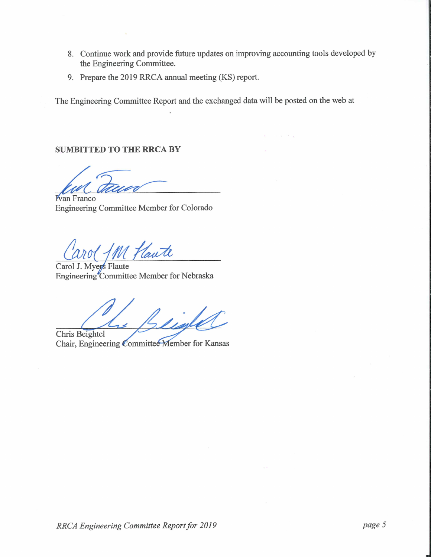- 8. Continue work and provide future updates on improving accounting tools developed by the Engineering Committee.
- 9. Prepare the 2019 RRCA annual meeting (KS) report.

The Engineering Committee Report and the exchanged data will be posted on the web at

### **SUMBITTED TO THE RRCA BY**

**Kyan Franco** Engineering Committee Member for Colorado

M Haute

Carol J. Myegs Flaute Engineering Committee Member for Nebraska

Chris Beightel

Chair, Engineering Committee Member for Kansas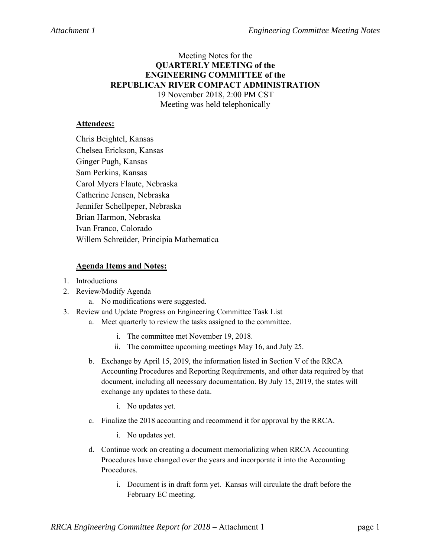## Meeting Notes for the **QUARTERLY MEETING of the ENGINEERING COMMITTEE of the REPUBLICAN RIVER COMPACT ADMINISTRATION**  19 November 2018, 2:00 PM CST

Meeting was held telephonically

## **Attendees:**

Chris Beightel, Kansas Chelsea Erickson, Kansas Ginger Pugh, Kansas Sam Perkins, Kansas Carol Myers Flaute, Nebraska Catherine Jensen, Nebraska Jennifer Schellpeper, Nebraska Brian Harmon, Nebraska Ivan Franco, Colorado Willem Schreüder, Principia Mathematica

- 1. Introductions
- 2. Review/Modify Agenda
	- a. No modifications were suggested.
- 3. Review and Update Progress on Engineering Committee Task List
	- a. Meet quarterly to review the tasks assigned to the committee.
		- i. The committee met November 19, 2018.
		- ii. The committee upcoming meetings May 16, and July 25.
	- b. Exchange by April 15, 2019, the information listed in Section V of the RRCA Accounting Procedures and Reporting Requirements, and other data required by that document, including all necessary documentation. By July 15, 2019, the states will exchange any updates to these data.
		- i. No updates yet.
	- c. Finalize the 2018 accounting and recommend it for approval by the RRCA.
		- i. No updates yet.
	- d. Continue work on creating a document memorializing when RRCA Accounting Procedures have changed over the years and incorporate it into the Accounting Procedures.
		- i. Document is in draft form yet. Kansas will circulate the draft before the February EC meeting.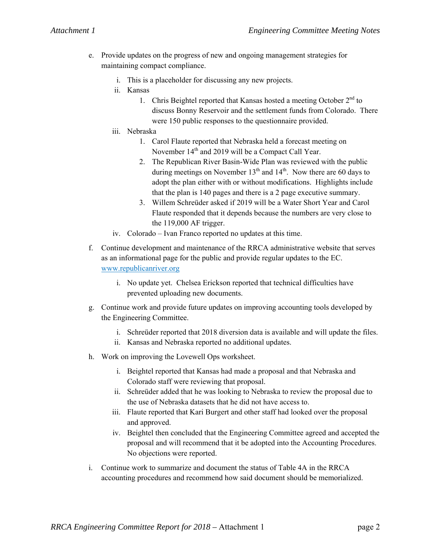- e. Provide updates on the progress of new and ongoing management strategies for maintaining compact compliance.
	- i. This is a placeholder for discussing any new projects.
	- ii. Kansas
		- 1. Chris Beightel reported that Kansas hosted a meeting October 2<sup>nd</sup> to discuss Bonny Reservoir and the settlement funds from Colorado. There were 150 public responses to the questionnaire provided.
	- iii. Nebraska
		- 1. Carol Flaute reported that Nebraska held a forecast meeting on November 14<sup>th</sup> and 2019 will be a Compact Call Year.
		- 2. The Republican River Basin-Wide Plan was reviewed with the public during meetings on November  $13<sup>th</sup>$  and  $14<sup>th</sup>$ . Now there are 60 days to adopt the plan either with or without modifications. Highlights include that the plan is 140 pages and there is a 2 page executive summary.
		- 3. Willem Schreüder asked if 2019 will be a Water Short Year and Carol Flaute responded that it depends because the numbers are very close to the 119,000 AF trigger.
	- iv. Colorado Ivan Franco reported no updates at this time.
- f. Continue development and maintenance of the RRCA administrative website that serves as an informational page for the public and provide regular updates to the EC. www.republicanriver.org
	- i. No update yet. Chelsea Erickson reported that technical difficulties have prevented uploading new documents.
- g. Continue work and provide future updates on improving accounting tools developed by the Engineering Committee.
	- i. Schreüder reported that 2018 diversion data is available and will update the files.
	- ii. Kansas and Nebraska reported no additional updates.
- h. Work on improving the Lovewell Ops worksheet.
	- i. Beightel reported that Kansas had made a proposal and that Nebraska and Colorado staff were reviewing that proposal.
	- ii. Schreüder added that he was looking to Nebraska to review the proposal due to the use of Nebraska datasets that he did not have access to.
	- iii. Flaute reported that Kari Burgert and other staff had looked over the proposal and approved.
	- iv. Beightel then concluded that the Engineering Committee agreed and accepted the proposal and will recommend that it be adopted into the Accounting Procedures. No objections were reported.
- i. Continue work to summarize and document the status of Table 4A in the RRCA accounting procedures and recommend how said document should be memorialized.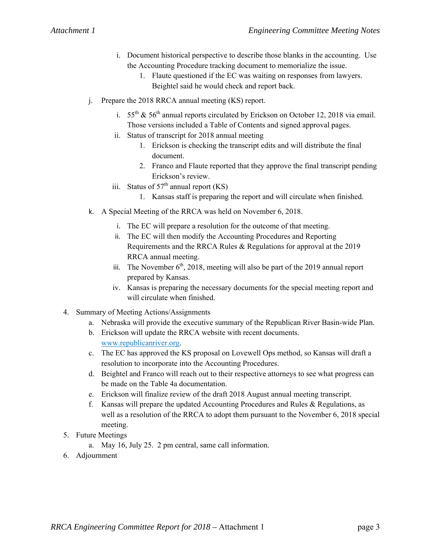- i. Document historical perspective to describe those blanks in the accounting. Use the Accounting Procedure tracking document to memorialize the issue.
	- 1. Flaute questioned if the EC was waiting on responses from lawyers. Beightel said he would check and report back.
- j. Prepare the 2018 RRCA annual meeting (KS) report.
	- i. 55<sup>th</sup> & 56<sup>th</sup> annual reports circulated by Erickson on October 12, 2018 via email. Those versions included a Table of Contents and signed approval pages.
	- ii. Status of transcript for 2018 annual meeting
		- 1. Erickson is checking the transcript edits and will distribute the final document.
		- 2. Franco and Flaute reported that they approve the final transcript pending Erickson's review.
	- iii. Status of  $57<sup>th</sup>$  annual report (KS)
		- 1. Kansas staff is preparing the report and will circulate when finished.
- k. A Special Meeting of the RRCA was held on November 6, 2018.
	- i. The EC will prepare a resolution for the outcome of that meeting.
	- ii. The EC will then modify the Accounting Procedures and Reporting Requirements and the RRCA Rules & Regulations for approval at the 2019 RRCA annual meeting.
	- iii. The November  $6<sup>th</sup>$ , 2018, meeting will also be part of the 2019 annual report prepared by Kansas.
	- iv. Kansas is preparing the necessary documents for the special meeting report and will circulate when finished.
- 4. Summary of Meeting Actions/Assignments
	- a. Nebraska will provide the executive summary of the Republican River Basin-wide Plan.
	- b. Erickson will update the RRCA website with recent documents. www.republicanriver.org.
	- c. The EC has approved the KS proposal on Lovewell Ops method, so Kansas will draft a resolution to incorporate into the Accounting Procedures.
	- d. Beightel and Franco will reach out to their respective attorneys to see what progress can be made on the Table 4a documentation.
	- e. Erickson will finalize review of the draft 2018 August annual meeting transcript.
	- f. Kansas will prepare the updated Accounting Procedures and Rules & Regulations, as well as a resolution of the RRCA to adopt them pursuant to the November 6, 2018 special meeting.
- 5. Future Meetings
	- a. May 16, July 25. 2 pm central, same call information.
- 6. Adjournment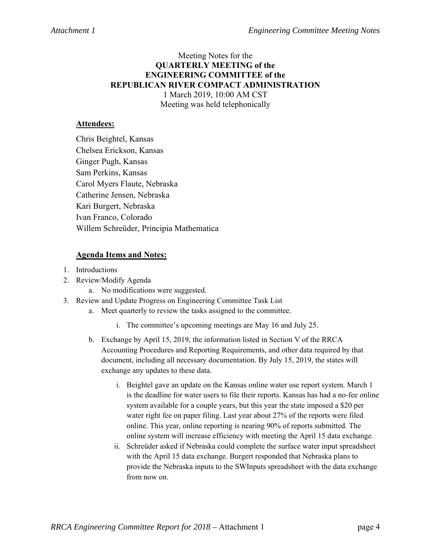## Meeting Notes for the **QUARTERLY MEETING of the ENGINEERING COMMITTEE of the REPUBLICAN RIVER COMPACT ADMINISTRATION**  1 March 2019, 10:00 AM CST Meeting was held telephonically

## **Attendees:**

Chris Beightel, Kansas Chelsea Erickson, Kansas Ginger Pugh, Kansas Sam Perkins, Kansas Carol Myers Flaute, Nebraska Catherine Jensen, Nebraska Kari Burgert, Nebraska Ivan Franco, Colorado Willem Schreüder, Principia Mathematica

- 1. Introductions
- 2. Review/Modify Agenda
	- a. No modifications were suggested.
- 3. Review and Update Progress on Engineering Committee Task List
	- a. Meet quarterly to review the tasks assigned to the committee.
		- i. The committee's upcoming meetings are May 16 and July 25.
	- b. Exchange by April 15, 2019, the information listed in Section V of the RRCA Accounting Procedures and Reporting Requirements, and other data required by that document, including all necessary documentation. By July 15, 2019, the states will exchange any updates to these data.
		- i. Beightel gave an update on the Kansas online water use report system. March 1 is the deadline for water users to file their reports. Kansas has had a no-fee online system available for a couple years, but this year the state imposed a \$20 per water right fee on paper filing. Last year about 27% of the reports were filed online. This year, online reporting is nearing 90% of reports submitted. The online system will increase efficiency with meeting the April 15 data exchange.
		- ii. Schreüder asked if Nebraska could complete the surface water input spreadsheet with the April 15 data exchange. Burgert responded that Nebraska plans to provide the Nebraska inputs to the SWInputs spreadsheet with the data exchange from now on.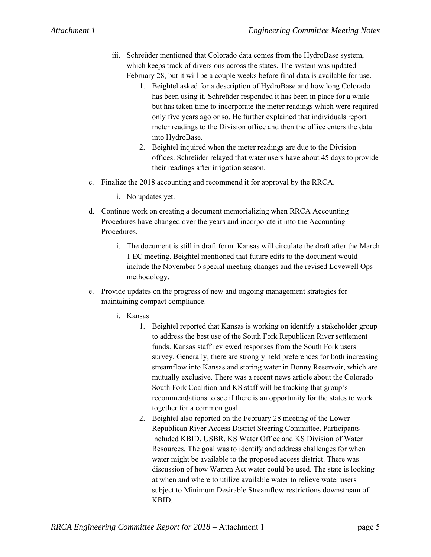- iii. Schreüder mentioned that Colorado data comes from the HydroBase system, which keeps track of diversions across the states. The system was updated February 28, but it will be a couple weeks before final data is available for use.
	- 1. Beightel asked for a description of HydroBase and how long Colorado has been using it. Schreüder responded it has been in place for a while but has taken time to incorporate the meter readings which were required only five years ago or so. He further explained that individuals report meter readings to the Division office and then the office enters the data into HydroBase.
	- 2. Beightel inquired when the meter readings are due to the Division offices. Schreüder relayed that water users have about 45 days to provide their readings after irrigation season.
- c. Finalize the 2018 accounting and recommend it for approval by the RRCA.
	- i. No updates yet.
- d. Continue work on creating a document memorializing when RRCA Accounting Procedures have changed over the years and incorporate it into the Accounting Procedures.
	- i. The document is still in draft form. Kansas will circulate the draft after the March 1 EC meeting. Beightel mentioned that future edits to the document would include the November 6 special meeting changes and the revised Lovewell Ops methodology.
- e. Provide updates on the progress of new and ongoing management strategies for maintaining compact compliance.
	- i. Kansas
		- 1. Beightel reported that Kansas is working on identify a stakeholder group to address the best use of the South Fork Republican River settlement funds. Kansas staff reviewed responses from the South Fork users survey. Generally, there are strongly held preferences for both increasing streamflow into Kansas and storing water in Bonny Reservoir, which are mutually exclusive. There was a recent news article about the Colorado South Fork Coalition and KS staff will be tracking that group's recommendations to see if there is an opportunity for the states to work together for a common goal.
		- 2. Beightel also reported on the February 28 meeting of the Lower Republican River Access District Steering Committee. Participants included KBID, USBR, KS Water Office and KS Division of Water Resources. The goal was to identify and address challenges for when water might be available to the proposed access district. There was discussion of how Warren Act water could be used. The state is looking at when and where to utilize available water to relieve water users subject to Minimum Desirable Streamflow restrictions downstream of KBID.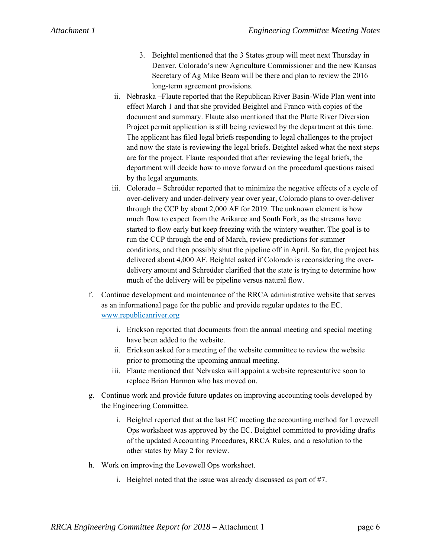- 3. Beightel mentioned that the 3 States group will meet next Thursday in Denver. Colorado's new Agriculture Commissioner and the new Kansas Secretary of Ag Mike Beam will be there and plan to review the 2016 long-term agreement provisions.
- ii. Nebraska –Flaute reported that the Republican River Basin-Wide Plan went into effect March 1 and that she provided Beightel and Franco with copies of the document and summary. Flaute also mentioned that the Platte River Diversion Project permit application is still being reviewed by the department at this time. The applicant has filed legal briefs responding to legal challenges to the project and now the state is reviewing the legal briefs. Beightel asked what the next steps are for the project. Flaute responded that after reviewing the legal briefs, the department will decide how to move forward on the procedural questions raised by the legal arguments.
- iii. Colorado Schreüder reported that to minimize the negative effects of a cycle of over-delivery and under-delivery year over year, Colorado plans to over-deliver through the CCP by about 2,000 AF for 2019. The unknown element is how much flow to expect from the Arikaree and South Fork, as the streams have started to flow early but keep freezing with the wintery weather. The goal is to run the CCP through the end of March, review predictions for summer conditions, and then possibly shut the pipeline off in April. So far, the project has delivered about 4,000 AF. Beightel asked if Colorado is reconsidering the overdelivery amount and Schreüder clarified that the state is trying to determine how much of the delivery will be pipeline versus natural flow.
- f. Continue development and maintenance of the RRCA administrative website that serves as an informational page for the public and provide regular updates to the EC. www.republicanriver.org
	- i. Erickson reported that documents from the annual meeting and special meeting have been added to the website.
	- ii. Erickson asked for a meeting of the website committee to review the website prior to promoting the upcoming annual meeting.
	- iii. Flaute mentioned that Nebraska will appoint a website representative soon to replace Brian Harmon who has moved on.
- g. Continue work and provide future updates on improving accounting tools developed by the Engineering Committee.
	- i. Beightel reported that at the last EC meeting the accounting method for Lovewell Ops worksheet was approved by the EC. Beightel committed to providing drafts of the updated Accounting Procedures, RRCA Rules, and a resolution to the other states by May 2 for review.
- h. Work on improving the Lovewell Ops worksheet.
	- i. Beightel noted that the issue was already discussed as part of #7.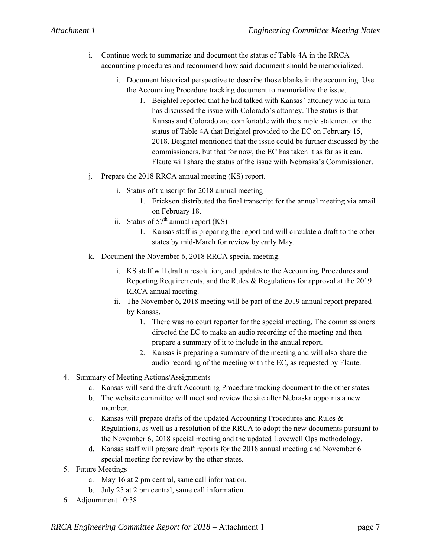- i. Continue work to summarize and document the status of Table 4A in the RRCA accounting procedures and recommend how said document should be memorialized.
	- i. Document historical perspective to describe those blanks in the accounting. Use the Accounting Procedure tracking document to memorialize the issue.
		- 1. Beightel reported that he had talked with Kansas' attorney who in turn has discussed the issue with Colorado's attorney. The status is that Kansas and Colorado are comfortable with the simple statement on the status of Table 4A that Beightel provided to the EC on February 15, 2018. Beightel mentioned that the issue could be further discussed by the commissioners, but that for now, the EC has taken it as far as it can. Flaute will share the status of the issue with Nebraska's Commissioner.
- j. Prepare the 2018 RRCA annual meeting (KS) report.
	- i. Status of transcript for 2018 annual meeting
		- 1. Erickson distributed the final transcript for the annual meeting via email on February 18.
	- ii. Status of  $57<sup>th</sup>$  annual report (KS)
		- 1. Kansas staff is preparing the report and will circulate a draft to the other states by mid-March for review by early May.
- k. Document the November 6, 2018 RRCA special meeting.
	- i. KS staff will draft a resolution, and updates to the Accounting Procedures and Reporting Requirements, and the Rules & Regulations for approval at the 2019 RRCA annual meeting.
	- ii. The November 6, 2018 meeting will be part of the 2019 annual report prepared by Kansas.
		- 1. There was no court reporter for the special meeting. The commissioners directed the EC to make an audio recording of the meeting and then prepare a summary of it to include in the annual report.
		- 2. Kansas is preparing a summary of the meeting and will also share the audio recording of the meeting with the EC, as requested by Flaute.
- 4. Summary of Meeting Actions/Assignments
	- a. Kansas will send the draft Accounting Procedure tracking document to the other states.
	- b. The website committee will meet and review the site after Nebraska appoints a new member.
	- c. Kansas will prepare drafts of the updated Accounting Procedures and Rules & Regulations, as well as a resolution of the RRCA to adopt the new documents pursuant to the November 6, 2018 special meeting and the updated Lovewell Ops methodology.
	- d. Kansas staff will prepare draft reports for the 2018 annual meeting and November 6 special meeting for review by the other states.
- 5. Future Meetings
	- a. May 16 at 2 pm central, same call information.
	- b. July 25 at 2 pm central, same call information.
- 6. Adjournment 10:38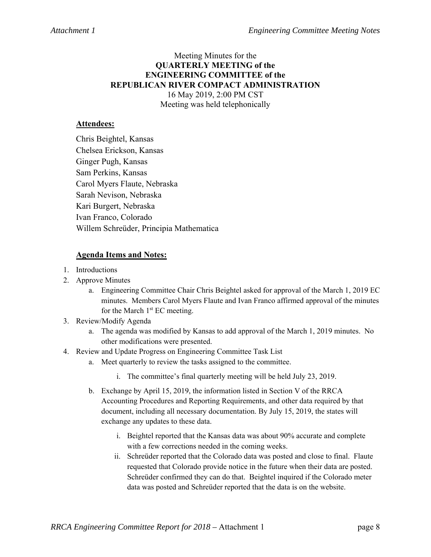## Meeting Minutes for the **QUARTERLY MEETING of the ENGINEERING COMMITTEE of the REPUBLICAN RIVER COMPACT ADMINISTRATION**  16 May 2019, 2:00 PM CST Meeting was held telephonically

## **Attendees:**

Chris Beightel, Kansas Chelsea Erickson, Kansas Ginger Pugh, Kansas Sam Perkins, Kansas Carol Myers Flaute, Nebraska Sarah Nevison, Nebraska Kari Burgert, Nebraska Ivan Franco, Colorado Willem Schreüder, Principia Mathematica

- 1. Introductions
- 2. Approve Minutes
	- a. Engineering Committee Chair Chris Beightel asked for approval of the March 1, 2019 EC minutes. Members Carol Myers Flaute and Ivan Franco affirmed approval of the minutes for the March  $1<sup>st</sup> EC meeting.$
- 3. Review/Modify Agenda
	- a. The agenda was modified by Kansas to add approval of the March 1, 2019 minutes. No other modifications were presented.
- 4. Review and Update Progress on Engineering Committee Task List
	- a. Meet quarterly to review the tasks assigned to the committee.
		- i. The committee's final quarterly meeting will be held July 23, 2019.
	- b. Exchange by April 15, 2019, the information listed in Section V of the RRCA Accounting Procedures and Reporting Requirements, and other data required by that document, including all necessary documentation. By July 15, 2019, the states will exchange any updates to these data.
		- i. Beightel reported that the Kansas data was about 90% accurate and complete with a few corrections needed in the coming weeks.
		- ii. Schreüder reported that the Colorado data was posted and close to final. Flaute requested that Colorado provide notice in the future when their data are posted. Schreüder confirmed they can do that. Beightel inquired if the Colorado meter data was posted and Schreüder reported that the data is on the website.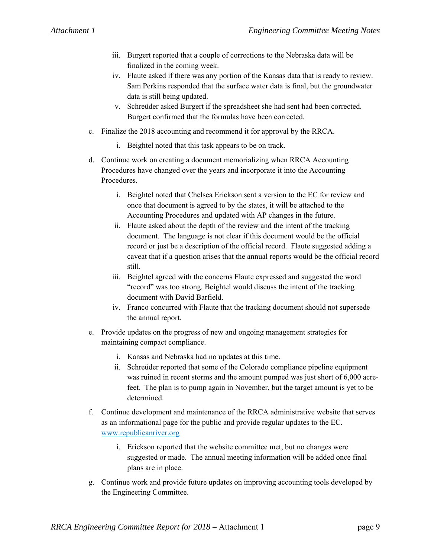- iii. Burgert reported that a couple of corrections to the Nebraska data will be finalized in the coming week.
- iv. Flaute asked if there was any portion of the Kansas data that is ready to review. Sam Perkins responded that the surface water data is final, but the groundwater data is still being updated.
- v. Schreüder asked Burgert if the spreadsheet she had sent had been corrected. Burgert confirmed that the formulas have been corrected.
- c. Finalize the 2018 accounting and recommend it for approval by the RRCA.
	- i. Beightel noted that this task appears to be on track.
- d. Continue work on creating a document memorializing when RRCA Accounting Procedures have changed over the years and incorporate it into the Accounting Procedures.
	- i. Beightel noted that Chelsea Erickson sent a version to the EC for review and once that document is agreed to by the states, it will be attached to the Accounting Procedures and updated with AP changes in the future.
	- ii. Flaute asked about the depth of the review and the intent of the tracking document. The language is not clear if this document would be the official record or just be a description of the official record. Flaute suggested adding a caveat that if a question arises that the annual reports would be the official record still.
	- iii. Beightel agreed with the concerns Flaute expressed and suggested the word "record" was too strong. Beightel would discuss the intent of the tracking document with David Barfield.
	- iv. Franco concurred with Flaute that the tracking document should not supersede the annual report.
- e. Provide updates on the progress of new and ongoing management strategies for maintaining compact compliance.
	- i. Kansas and Nebraska had no updates at this time.
	- ii. Schreüder reported that some of the Colorado compliance pipeline equipment was ruined in recent storms and the amount pumped was just short of 6,000 acrefeet. The plan is to pump again in November, but the target amount is yet to be determined.
- f. Continue development and maintenance of the RRCA administrative website that serves as an informational page for the public and provide regular updates to the EC. www.republicanriver.org
	- i. Erickson reported that the website committee met, but no changes were suggested or made. The annual meeting information will be added once final plans are in place.
- g. Continue work and provide future updates on improving accounting tools developed by the Engineering Committee.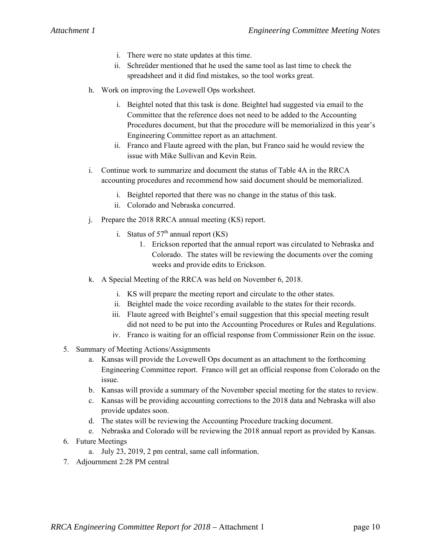- i. There were no state updates at this time.
- ii. Schreüder mentioned that he used the same tool as last time to check the spreadsheet and it did find mistakes, so the tool works great.
- h. Work on improving the Lovewell Ops worksheet.
	- i. Beightel noted that this task is done. Beightel had suggested via email to the Committee that the reference does not need to be added to the Accounting Procedures document, but that the procedure will be memorialized in this year's Engineering Committee report as an attachment.
	- ii. Franco and Flaute agreed with the plan, but Franco said he would review the issue with Mike Sullivan and Kevin Rein.
- i. Continue work to summarize and document the status of Table 4A in the RRCA accounting procedures and recommend how said document should be memorialized.
	- i. Beightel reported that there was no change in the status of this task.
	- ii. Colorado and Nebraska concurred.
- j. Prepare the 2018 RRCA annual meeting (KS) report.
	- i. Status of  $57<sup>th</sup>$  annual report (KS)
		- 1. Erickson reported that the annual report was circulated to Nebraska and Colorado. The states will be reviewing the documents over the coming weeks and provide edits to Erickson.
- k. A Special Meeting of the RRCA was held on November 6, 2018.
	- i. KS will prepare the meeting report and circulate to the other states.
	- ii. Beightel made the voice recording available to the states for their records.
	- iii. Flaute agreed with Beightel's email suggestion that this special meeting result did not need to be put into the Accounting Procedures or Rules and Regulations.
	- iv. Franco is waiting for an official response from Commissioner Rein on the issue.
- 5. Summary of Meeting Actions/Assignments
	- a. Kansas will provide the Lovewell Ops document as an attachment to the forthcoming Engineering Committee report. Franco will get an official response from Colorado on the issue.
	- b. Kansas will provide a summary of the November special meeting for the states to review.
	- c. Kansas will be providing accounting corrections to the 2018 data and Nebraska will also provide updates soon.
	- d. The states will be reviewing the Accounting Procedure tracking document.
	- e. Nebraska and Colorado will be reviewing the 2018 annual report as provided by Kansas.
- 6. Future Meetings
	- a. July 23, 2019, 2 pm central, same call information.
- 7. Adjournment 2:28 PM central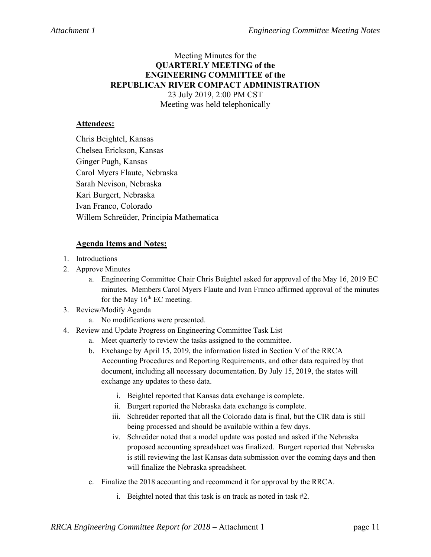## Meeting Minutes for the **QUARTERLY MEETING of the ENGINEERING COMMITTEE of the REPUBLICAN RIVER COMPACT ADMINISTRATION**  23 July 2019, 2:00 PM CST Meeting was held telephonically

## **Attendees:**

Chris Beightel, Kansas Chelsea Erickson, Kansas Ginger Pugh, Kansas Carol Myers Flaute, Nebraska Sarah Nevison, Nebraska Kari Burgert, Nebraska Ivan Franco, Colorado Willem Schreüder, Principia Mathematica

- 1. Introductions
- 2. Approve Minutes
	- a. Engineering Committee Chair Chris Beightel asked for approval of the May 16, 2019 EC minutes. Members Carol Myers Flaute and Ivan Franco affirmed approval of the minutes for the May  $16<sup>th</sup>$  EC meeting.
- 3. Review/Modify Agenda
	- a. No modifications were presented.
- 4. Review and Update Progress on Engineering Committee Task List
	- a. Meet quarterly to review the tasks assigned to the committee.
	- b. Exchange by April 15, 2019, the information listed in Section V of the RRCA Accounting Procedures and Reporting Requirements, and other data required by that document, including all necessary documentation. By July 15, 2019, the states will exchange any updates to these data.
		- i. Beightel reported that Kansas data exchange is complete.
		- ii. Burgert reported the Nebraska data exchange is complete.
		- iii. Schreüder reported that all the Colorado data is final, but the CIR data is still being processed and should be available within a few days.
		- iv. Schreüder noted that a model update was posted and asked if the Nebraska proposed accounting spreadsheet was finalized. Burgert reported that Nebraska is still reviewing the last Kansas data submission over the coming days and then will finalize the Nebraska spreadsheet.
	- c. Finalize the 2018 accounting and recommend it for approval by the RRCA.
		- i. Beightel noted that this task is on track as noted in task #2.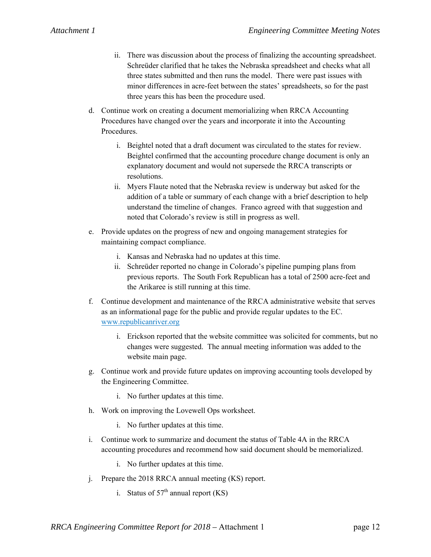- ii. There was discussion about the process of finalizing the accounting spreadsheet. Schreüder clarified that he takes the Nebraska spreadsheet and checks what all three states submitted and then runs the model. There were past issues with minor differences in acre-feet between the states' spreadsheets, so for the past three years this has been the procedure used.
- d. Continue work on creating a document memorializing when RRCA Accounting Procedures have changed over the years and incorporate it into the Accounting Procedures.
	- i. Beightel noted that a draft document was circulated to the states for review. Beightel confirmed that the accounting procedure change document is only an explanatory document and would not supersede the RRCA transcripts or resolutions.
	- ii. Myers Flaute noted that the Nebraska review is underway but asked for the addition of a table or summary of each change with a brief description to help understand the timeline of changes. Franco agreed with that suggestion and noted that Colorado's review is still in progress as well.
- e. Provide updates on the progress of new and ongoing management strategies for maintaining compact compliance.
	- i. Kansas and Nebraska had no updates at this time.
	- ii. Schreüder reported no change in Colorado's pipeline pumping plans from previous reports. The South Fork Republican has a total of 2500 acre-feet and the Arikaree is still running at this time.
- f. Continue development and maintenance of the RRCA administrative website that serves as an informational page for the public and provide regular updates to the EC. www.republicanriver.org
	- i. Erickson reported that the website committee was solicited for comments, but no changes were suggested. The annual meeting information was added to the website main page.
- g. Continue work and provide future updates on improving accounting tools developed by the Engineering Committee.
	- i. No further updates at this time.
- h. Work on improving the Lovewell Ops worksheet.
	- i. No further updates at this time.
- i. Continue work to summarize and document the status of Table 4A in the RRCA accounting procedures and recommend how said document should be memorialized.
	- i. No further updates at this time.
- j. Prepare the 2018 RRCA annual meeting (KS) report.
	- i. Status of  $57<sup>th</sup>$  annual report (KS)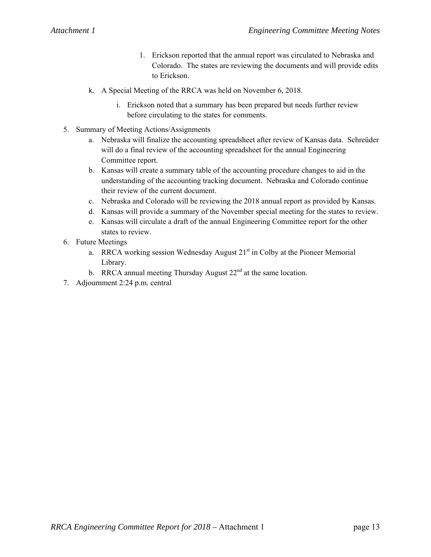- 1. Erickson reported that the annual report was circulated to Nebraska and Colorado. The states are reviewing the documents and will provide edits to Erickson.
- k. A Special Meeting of the RRCA was held on November 6, 2018.
	- i. Erickson noted that a summary has been prepared but needs further review before circulating to the states for comments.
- 5. Summary of Meeting Actions/Assignments
	- a. Nebraska will finalize the accounting spreadsheet after review of Kansas data. Schreüder will do a final review of the accounting spreadsheet for the annual Engineering Committee report.
	- b. Kansas will create a summary table of the accounting procedure changes to aid in the understanding of the accounting tracking document. Nebraska and Colorado continue their review of the current document.
	- c. Nebraska and Colorado will be reviewing the 2018 annual report as provided by Kansas.
	- d. Kansas will provide a summary of the November special meeting for the states to review.
	- e. Kansas will circulate a draft of the annual Engineering Committee report for the other states to review.
- 6. Future Meetings
	- a. RRCA working session Wednesday August  $21<sup>st</sup>$  in Colby at the Pioneer Memorial Library.
	- b. RRCA annual meeting Thursday August  $22<sup>nd</sup>$  at the same location.
- 7. Adjournment 2:24 p.m. central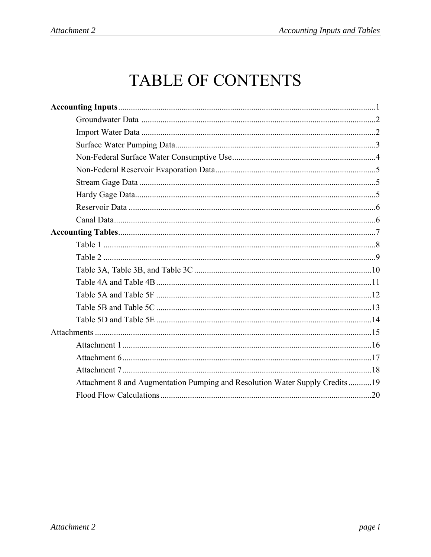# TABLE OF CONTENTS

| Attachment 8 and Augmentation Pumping and Resolution Water Supply Credits19 |
|-----------------------------------------------------------------------------|
|                                                                             |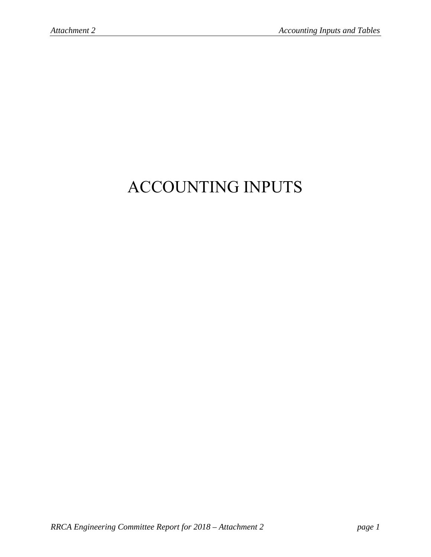# ACCOUNTING INPUTS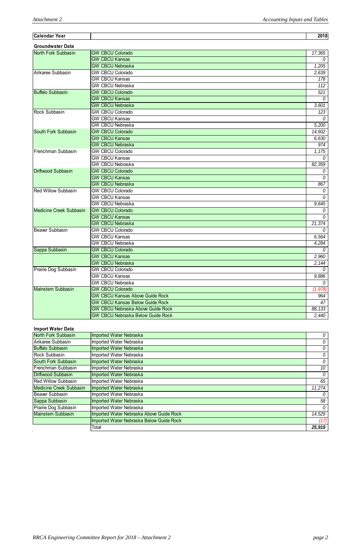| Calendar Year                  |                                          | 2018           |
|--------------------------------|------------------------------------------|----------------|
| <b>Groundwater Data</b>        |                                          |                |
| North Fork Subbasin            | <b>GW CBCU Colorado</b>                  | 17,365         |
|                                | <b>GW CBCU Kansas</b>                    | 0              |
|                                | <b>GW CBCU Nebraska</b>                  | 1,205          |
| Arikaree Subbasin              | <b>GW CBCU Colorado</b>                  | 2,639          |
|                                | <b>GW CBCU Kansas</b>                    | 178            |
|                                | <b>GW CBCU Nebraska</b>                  | 112            |
| <b>Buffalo Subbasin</b>        | <b>GW CBCU Colorado</b>                  | 521            |
|                                | <b>GW CBCU Kansas</b>                    | 0              |
|                                | <b>GW CBCU Nebraska</b>                  | 3,601          |
| Rock Subbasin                  | <b>GW CBCU Colorado</b>                  | 123            |
|                                | <b>GW CBCU Kansas</b>                    | $\Omega$       |
|                                | <b>GW CBCU Nebraska</b>                  | 5,200          |
| South Fork Subbasin            | <b>GW CBCU Colorado</b>                  | 14,602         |
|                                | <b>GW CBCU Kansas</b>                    | 6,630          |
|                                | <b>GW CBCU Nebraska</b>                  | 974            |
| Frenchman Subbasin             | <b>GW CBCU Colorado</b>                  | 1,175          |
|                                | <b>GW CBCU Kansas</b>                    | $\overline{0}$ |
|                                | <b>GW CBCU Nebraska</b>                  | 82,359         |
| Driftwood Subbasin             | <b>GW CBCU Colorado</b>                  | 0              |
|                                | <b>GW CBCU Kansas</b>                    | $\overline{0}$ |
|                                | <b>GW CBCU Nebraska</b>                  | 867            |
| <b>Red Willow Subbasin</b>     | <b>GW CBCU Colorado</b>                  | 0              |
|                                | <b>GW CBCU Kansas</b>                    | $\mathcal{O}$  |
|                                | <b>GW CBCU Nebraska</b>                  | 9,645          |
| <b>Medicine Creek Subbasin</b> | <b>GW CBCU Colorado</b>                  | $\overline{0}$ |
|                                | <b>GW CBCU Kansas</b>                    | $\overline{0}$ |
|                                | <b>GW CBCU Nebraska</b>                  | 21,374         |
| Beaver Subbasin                | <b>GW CBCU Colorado</b>                  | 0              |
|                                | <b>GW CBCU Kansas</b>                    | 6,564          |
|                                | <b>GW CBCU Nebraska</b>                  | 4,284          |
| Sappa Subbasin                 | <b>GW CBCU Colorado</b>                  | 0              |
|                                | <b>GW CBCU Kansas</b>                    | 2,960          |
|                                | <b>GW CBCU Nebraska</b>                  | 2,144          |
| Prairie Dog Subbasin           | <b>GW CBCU Colorado</b>                  | $\mathcal{O}$  |
|                                | <b>GW CBCU Kansas</b>                    | 9,886          |
|                                | <b>GW CBCU Nebraska</b>                  | 0              |
| <b>Mainstem Subbasin</b>       | <b>GW CBCU Colorado</b>                  | (1, 978)       |
|                                | <b>GW CBCU Kansas Above Guide Rock</b>   | 964            |
|                                | <b>GW CBCU Kansas Below Guide Rock</b>   | 47             |
|                                | <b>GW CBCU Nebraska Above Guide Rock</b> | 88,133         |
|                                | <b>GW CBCU Nebraska Below Guide Rock</b> | 2,440          |

## **Import Water Data**

| North Fork Subbasin            | <b>Imported Water Nebraska</b>           | 0      |
|--------------------------------|------------------------------------------|--------|
| Arikaree Subbasin              | Imported Water Nebraska                  | 0      |
| <b>Buffalo Subbasin</b>        | Imported Water Nebraska                  | 0      |
| Rock Subbasin                  | Imported Water Nebraska                  | 0      |
| South Fork Subbasin            | Imported Water Nebraska                  | 0      |
| Frenchman Subbasin             | Imported Water Nebraska                  | 10     |
| Driftwood Subbasin             | <b>Imported Water Nebraska</b>           | 0      |
| <b>Red Willow Subbasin</b>     | Imported Water Nebraska                  | 65     |
| <b>Medicine Creek Subbasin</b> | Imported Water Nebraska                  | 11,274 |
| Beaver Subbasin                | Imported Water Nebraska                  | 0      |
| Sappa Subbasin                 | Imported Water Nebraska                  | 58     |
| Prairie Dog Subbasin           | Imported Water Nebraska                  | 0      |
| <b>Mainstem Subbasin</b>       | Imported Water Nebraska Above Guide Rock | 14,529 |
|                                | Imported Water Nebraska Below Guide Rock | (17)   |
|                                | Total                                    | 25,919 |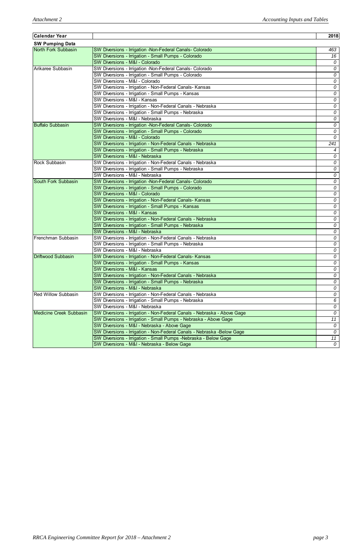| <b>SW Pumping Data</b><br>SW Diversions - Irrigation -Non-Federal Canals- Colorado<br>463<br>SW Diversions - Irrigation - Small Pumps - Colorado<br>16<br>SW Diversions - M&I - Colorado<br>0<br>SW Diversions - Irrigation -Non-Federal Canals- Colorado<br>0<br>SW Diversions - Irrigation - Small Pumps - Colorado<br>0<br>SW Diversions - M&I - Colorado<br>0<br>SW Diversions - Irrigation - Non-Federal Canals- Kansas<br>0<br>SW Diversions - Irrigation - Small Pumps - Kansas<br>0<br>SW Diversions - M&I - Kansas<br>0<br>SW Diversions - Irrigation - Non-Federal Canals - Nebraska<br>0<br>SW Diversions - Irrigation - Small Pumps - Nebraska<br>0<br>SW Diversions - M&I - Nebraska<br>0<br>SW Diversions - Irrigation -Non-Federal Canals- Colorado<br>0<br>SW Diversions - Irrigation - Small Pumps - Colorado<br>0<br>SW Diversions - M&I - Colorado<br>$\mathcal{O}$<br>SW Diversions - Irrigation - Non-Federal Canals - Nebraska<br>241<br>SW Diversions - Irrigation - Small Pumps - Nebraska<br>$\boldsymbol{4}$<br>SW Diversions - M&I - Nebraska<br>0<br>SW Diversions - Irrigation - Non-Federal Canals - Nebraska<br><b>Rock Subbasin</b><br>0<br>SW Diversions - Irrigation - Small Pumps - Nebraska<br>0<br>SW Diversions - M&I - Nebraska<br>0<br>SW Diversions - Irrigation -Non-Federal Canals- Colorado<br>0<br>SW Diversions - Irrigation - Small Pumps - Colorado<br>0<br>SW Diversions - M&I - Colorado<br>0<br>SW Diversions - Irrigation - Non-Federal Canals- Kansas<br>0<br>SW Diversions - Irrigation - Small Pumps - Kansas<br>0<br>SW Diversions - M&I - Kansas<br>0<br>SW Diversions - Irrigation - Non-Federal Canals - Nebraska<br>0<br>SW Diversions - Irrigation - Small Pumps - Nebraska<br>0<br>SW Diversions - M&I - Nebraska<br>0<br>SW Diversions - Irrigation - Non-Federal Canals - Nebraska<br>0<br>SW Diversions - Irrigation - Small Pumps - Nebraska<br>0<br>SW Diversions - M&I - Nebraska<br>SW Diversions - Irrigation - Non-Federal Canals- Kansas<br>0<br>SW Diversions - Irrigation - Small Pumps - Kansas<br>0<br>SW Diversions - M&I - Kansas<br>SW Diversions - Irrigation - Non-Federal Canals - Nebraska<br>0<br>SW Diversions - Irrigation - Small Pumps - Nebraska<br>SW Diversions - M&I - Nebraska<br>0<br><b>Red Willow Subbasin</b><br>SW Diversions - Irrigation - Non-Federal Canals - Nebraska<br>SW Diversions - Irrigation - Small Pumps - Nebraska<br>6<br>SW Diversions - M&I - Nebraska<br>0<br>SW Diversions - Irrigation - Non-Federal Canals - Nebraska - Above Gage<br>11<br>SW Diversions - Irrigation - Small Pumps - Nebraska - Above Gage<br>SW Diversions - M&I - Nebraska - Above Gage<br>0<br>SW Diversions - Irrigation - Non-Federal Canals - Nebraska -Below Gage<br>SW Diversions - Irrigation - Small Pumps - Nebraska - Below Gage<br>SW Diversions - M&I - Nebraska - Below Gage | <b>Calendar Year</b>           | 2018 |
|---------------------------------------------------------------------------------------------------------------------------------------------------------------------------------------------------------------------------------------------------------------------------------------------------------------------------------------------------------------------------------------------------------------------------------------------------------------------------------------------------------------------------------------------------------------------------------------------------------------------------------------------------------------------------------------------------------------------------------------------------------------------------------------------------------------------------------------------------------------------------------------------------------------------------------------------------------------------------------------------------------------------------------------------------------------------------------------------------------------------------------------------------------------------------------------------------------------------------------------------------------------------------------------------------------------------------------------------------------------------------------------------------------------------------------------------------------------------------------------------------------------------------------------------------------------------------------------------------------------------------------------------------------------------------------------------------------------------------------------------------------------------------------------------------------------------------------------------------------------------------------------------------------------------------------------------------------------------------------------------------------------------------------------------------------------------------------------------------------------------------------------------------------------------------------------------------------------------------------------------------------------------------------------------------------------------------------------------------------------------------------------------------------------------------------------------------------------------------------------------------------------------------------------------------------------------------------------------------------------------------------------------------------------------------------------------------------------------------------------------------------------------------------------------------------------------------------------------------------------------------------------|--------------------------------|------|
| 0<br>0<br>0<br>0<br>0<br>0<br>11<br>0                                                                                                                                                                                                                                                                                                                                                                                                                                                                                                                                                                                                                                                                                                                                                                                                                                                                                                                                                                                                                                                                                                                                                                                                                                                                                                                                                                                                                                                                                                                                                                                                                                                                                                                                                                                                                                                                                                                                                                                                                                                                                                                                                                                                                                                                                                                                                                                                                                                                                                                                                                                                                                                                                                                                                                                                                                                 |                                |      |
|                                                                                                                                                                                                                                                                                                                                                                                                                                                                                                                                                                                                                                                                                                                                                                                                                                                                                                                                                                                                                                                                                                                                                                                                                                                                                                                                                                                                                                                                                                                                                                                                                                                                                                                                                                                                                                                                                                                                                                                                                                                                                                                                                                                                                                                                                                                                                                                                                                                                                                                                                                                                                                                                                                                                                                                                                                                                                       | North Fork Subbasin            |      |
|                                                                                                                                                                                                                                                                                                                                                                                                                                                                                                                                                                                                                                                                                                                                                                                                                                                                                                                                                                                                                                                                                                                                                                                                                                                                                                                                                                                                                                                                                                                                                                                                                                                                                                                                                                                                                                                                                                                                                                                                                                                                                                                                                                                                                                                                                                                                                                                                                                                                                                                                                                                                                                                                                                                                                                                                                                                                                       |                                |      |
|                                                                                                                                                                                                                                                                                                                                                                                                                                                                                                                                                                                                                                                                                                                                                                                                                                                                                                                                                                                                                                                                                                                                                                                                                                                                                                                                                                                                                                                                                                                                                                                                                                                                                                                                                                                                                                                                                                                                                                                                                                                                                                                                                                                                                                                                                                                                                                                                                                                                                                                                                                                                                                                                                                                                                                                                                                                                                       |                                |      |
|                                                                                                                                                                                                                                                                                                                                                                                                                                                                                                                                                                                                                                                                                                                                                                                                                                                                                                                                                                                                                                                                                                                                                                                                                                                                                                                                                                                                                                                                                                                                                                                                                                                                                                                                                                                                                                                                                                                                                                                                                                                                                                                                                                                                                                                                                                                                                                                                                                                                                                                                                                                                                                                                                                                                                                                                                                                                                       | Arikaree Subbasin              |      |
|                                                                                                                                                                                                                                                                                                                                                                                                                                                                                                                                                                                                                                                                                                                                                                                                                                                                                                                                                                                                                                                                                                                                                                                                                                                                                                                                                                                                                                                                                                                                                                                                                                                                                                                                                                                                                                                                                                                                                                                                                                                                                                                                                                                                                                                                                                                                                                                                                                                                                                                                                                                                                                                                                                                                                                                                                                                                                       |                                |      |
|                                                                                                                                                                                                                                                                                                                                                                                                                                                                                                                                                                                                                                                                                                                                                                                                                                                                                                                                                                                                                                                                                                                                                                                                                                                                                                                                                                                                                                                                                                                                                                                                                                                                                                                                                                                                                                                                                                                                                                                                                                                                                                                                                                                                                                                                                                                                                                                                                                                                                                                                                                                                                                                                                                                                                                                                                                                                                       |                                |      |
|                                                                                                                                                                                                                                                                                                                                                                                                                                                                                                                                                                                                                                                                                                                                                                                                                                                                                                                                                                                                                                                                                                                                                                                                                                                                                                                                                                                                                                                                                                                                                                                                                                                                                                                                                                                                                                                                                                                                                                                                                                                                                                                                                                                                                                                                                                                                                                                                                                                                                                                                                                                                                                                                                                                                                                                                                                                                                       |                                |      |
|                                                                                                                                                                                                                                                                                                                                                                                                                                                                                                                                                                                                                                                                                                                                                                                                                                                                                                                                                                                                                                                                                                                                                                                                                                                                                                                                                                                                                                                                                                                                                                                                                                                                                                                                                                                                                                                                                                                                                                                                                                                                                                                                                                                                                                                                                                                                                                                                                                                                                                                                                                                                                                                                                                                                                                                                                                                                                       |                                |      |
|                                                                                                                                                                                                                                                                                                                                                                                                                                                                                                                                                                                                                                                                                                                                                                                                                                                                                                                                                                                                                                                                                                                                                                                                                                                                                                                                                                                                                                                                                                                                                                                                                                                                                                                                                                                                                                                                                                                                                                                                                                                                                                                                                                                                                                                                                                                                                                                                                                                                                                                                                                                                                                                                                                                                                                                                                                                                                       |                                |      |
|                                                                                                                                                                                                                                                                                                                                                                                                                                                                                                                                                                                                                                                                                                                                                                                                                                                                                                                                                                                                                                                                                                                                                                                                                                                                                                                                                                                                                                                                                                                                                                                                                                                                                                                                                                                                                                                                                                                                                                                                                                                                                                                                                                                                                                                                                                                                                                                                                                                                                                                                                                                                                                                                                                                                                                                                                                                                                       |                                |      |
|                                                                                                                                                                                                                                                                                                                                                                                                                                                                                                                                                                                                                                                                                                                                                                                                                                                                                                                                                                                                                                                                                                                                                                                                                                                                                                                                                                                                                                                                                                                                                                                                                                                                                                                                                                                                                                                                                                                                                                                                                                                                                                                                                                                                                                                                                                                                                                                                                                                                                                                                                                                                                                                                                                                                                                                                                                                                                       |                                |      |
|                                                                                                                                                                                                                                                                                                                                                                                                                                                                                                                                                                                                                                                                                                                                                                                                                                                                                                                                                                                                                                                                                                                                                                                                                                                                                                                                                                                                                                                                                                                                                                                                                                                                                                                                                                                                                                                                                                                                                                                                                                                                                                                                                                                                                                                                                                                                                                                                                                                                                                                                                                                                                                                                                                                                                                                                                                                                                       |                                |      |
|                                                                                                                                                                                                                                                                                                                                                                                                                                                                                                                                                                                                                                                                                                                                                                                                                                                                                                                                                                                                                                                                                                                                                                                                                                                                                                                                                                                                                                                                                                                                                                                                                                                                                                                                                                                                                                                                                                                                                                                                                                                                                                                                                                                                                                                                                                                                                                                                                                                                                                                                                                                                                                                                                                                                                                                                                                                                                       | <b>Buffalo Subbasin</b>        |      |
|                                                                                                                                                                                                                                                                                                                                                                                                                                                                                                                                                                                                                                                                                                                                                                                                                                                                                                                                                                                                                                                                                                                                                                                                                                                                                                                                                                                                                                                                                                                                                                                                                                                                                                                                                                                                                                                                                                                                                                                                                                                                                                                                                                                                                                                                                                                                                                                                                                                                                                                                                                                                                                                                                                                                                                                                                                                                                       |                                |      |
|                                                                                                                                                                                                                                                                                                                                                                                                                                                                                                                                                                                                                                                                                                                                                                                                                                                                                                                                                                                                                                                                                                                                                                                                                                                                                                                                                                                                                                                                                                                                                                                                                                                                                                                                                                                                                                                                                                                                                                                                                                                                                                                                                                                                                                                                                                                                                                                                                                                                                                                                                                                                                                                                                                                                                                                                                                                                                       |                                |      |
|                                                                                                                                                                                                                                                                                                                                                                                                                                                                                                                                                                                                                                                                                                                                                                                                                                                                                                                                                                                                                                                                                                                                                                                                                                                                                                                                                                                                                                                                                                                                                                                                                                                                                                                                                                                                                                                                                                                                                                                                                                                                                                                                                                                                                                                                                                                                                                                                                                                                                                                                                                                                                                                                                                                                                                                                                                                                                       |                                |      |
|                                                                                                                                                                                                                                                                                                                                                                                                                                                                                                                                                                                                                                                                                                                                                                                                                                                                                                                                                                                                                                                                                                                                                                                                                                                                                                                                                                                                                                                                                                                                                                                                                                                                                                                                                                                                                                                                                                                                                                                                                                                                                                                                                                                                                                                                                                                                                                                                                                                                                                                                                                                                                                                                                                                                                                                                                                                                                       |                                |      |
|                                                                                                                                                                                                                                                                                                                                                                                                                                                                                                                                                                                                                                                                                                                                                                                                                                                                                                                                                                                                                                                                                                                                                                                                                                                                                                                                                                                                                                                                                                                                                                                                                                                                                                                                                                                                                                                                                                                                                                                                                                                                                                                                                                                                                                                                                                                                                                                                                                                                                                                                                                                                                                                                                                                                                                                                                                                                                       |                                |      |
|                                                                                                                                                                                                                                                                                                                                                                                                                                                                                                                                                                                                                                                                                                                                                                                                                                                                                                                                                                                                                                                                                                                                                                                                                                                                                                                                                                                                                                                                                                                                                                                                                                                                                                                                                                                                                                                                                                                                                                                                                                                                                                                                                                                                                                                                                                                                                                                                                                                                                                                                                                                                                                                                                                                                                                                                                                                                                       |                                |      |
|                                                                                                                                                                                                                                                                                                                                                                                                                                                                                                                                                                                                                                                                                                                                                                                                                                                                                                                                                                                                                                                                                                                                                                                                                                                                                                                                                                                                                                                                                                                                                                                                                                                                                                                                                                                                                                                                                                                                                                                                                                                                                                                                                                                                                                                                                                                                                                                                                                                                                                                                                                                                                                                                                                                                                                                                                                                                                       |                                |      |
|                                                                                                                                                                                                                                                                                                                                                                                                                                                                                                                                                                                                                                                                                                                                                                                                                                                                                                                                                                                                                                                                                                                                                                                                                                                                                                                                                                                                                                                                                                                                                                                                                                                                                                                                                                                                                                                                                                                                                                                                                                                                                                                                                                                                                                                                                                                                                                                                                                                                                                                                                                                                                                                                                                                                                                                                                                                                                       |                                |      |
|                                                                                                                                                                                                                                                                                                                                                                                                                                                                                                                                                                                                                                                                                                                                                                                                                                                                                                                                                                                                                                                                                                                                                                                                                                                                                                                                                                                                                                                                                                                                                                                                                                                                                                                                                                                                                                                                                                                                                                                                                                                                                                                                                                                                                                                                                                                                                                                                                                                                                                                                                                                                                                                                                                                                                                                                                                                                                       | <b>South Fork Subbasin</b>     |      |
|                                                                                                                                                                                                                                                                                                                                                                                                                                                                                                                                                                                                                                                                                                                                                                                                                                                                                                                                                                                                                                                                                                                                                                                                                                                                                                                                                                                                                                                                                                                                                                                                                                                                                                                                                                                                                                                                                                                                                                                                                                                                                                                                                                                                                                                                                                                                                                                                                                                                                                                                                                                                                                                                                                                                                                                                                                                                                       |                                |      |
|                                                                                                                                                                                                                                                                                                                                                                                                                                                                                                                                                                                                                                                                                                                                                                                                                                                                                                                                                                                                                                                                                                                                                                                                                                                                                                                                                                                                                                                                                                                                                                                                                                                                                                                                                                                                                                                                                                                                                                                                                                                                                                                                                                                                                                                                                                                                                                                                                                                                                                                                                                                                                                                                                                                                                                                                                                                                                       |                                |      |
|                                                                                                                                                                                                                                                                                                                                                                                                                                                                                                                                                                                                                                                                                                                                                                                                                                                                                                                                                                                                                                                                                                                                                                                                                                                                                                                                                                                                                                                                                                                                                                                                                                                                                                                                                                                                                                                                                                                                                                                                                                                                                                                                                                                                                                                                                                                                                                                                                                                                                                                                                                                                                                                                                                                                                                                                                                                                                       |                                |      |
|                                                                                                                                                                                                                                                                                                                                                                                                                                                                                                                                                                                                                                                                                                                                                                                                                                                                                                                                                                                                                                                                                                                                                                                                                                                                                                                                                                                                                                                                                                                                                                                                                                                                                                                                                                                                                                                                                                                                                                                                                                                                                                                                                                                                                                                                                                                                                                                                                                                                                                                                                                                                                                                                                                                                                                                                                                                                                       |                                |      |
|                                                                                                                                                                                                                                                                                                                                                                                                                                                                                                                                                                                                                                                                                                                                                                                                                                                                                                                                                                                                                                                                                                                                                                                                                                                                                                                                                                                                                                                                                                                                                                                                                                                                                                                                                                                                                                                                                                                                                                                                                                                                                                                                                                                                                                                                                                                                                                                                                                                                                                                                                                                                                                                                                                                                                                                                                                                                                       |                                |      |
|                                                                                                                                                                                                                                                                                                                                                                                                                                                                                                                                                                                                                                                                                                                                                                                                                                                                                                                                                                                                                                                                                                                                                                                                                                                                                                                                                                                                                                                                                                                                                                                                                                                                                                                                                                                                                                                                                                                                                                                                                                                                                                                                                                                                                                                                                                                                                                                                                                                                                                                                                                                                                                                                                                                                                                                                                                                                                       |                                |      |
|                                                                                                                                                                                                                                                                                                                                                                                                                                                                                                                                                                                                                                                                                                                                                                                                                                                                                                                                                                                                                                                                                                                                                                                                                                                                                                                                                                                                                                                                                                                                                                                                                                                                                                                                                                                                                                                                                                                                                                                                                                                                                                                                                                                                                                                                                                                                                                                                                                                                                                                                                                                                                                                                                                                                                                                                                                                                                       |                                |      |
|                                                                                                                                                                                                                                                                                                                                                                                                                                                                                                                                                                                                                                                                                                                                                                                                                                                                                                                                                                                                                                                                                                                                                                                                                                                                                                                                                                                                                                                                                                                                                                                                                                                                                                                                                                                                                                                                                                                                                                                                                                                                                                                                                                                                                                                                                                                                                                                                                                                                                                                                                                                                                                                                                                                                                                                                                                                                                       |                                |      |
|                                                                                                                                                                                                                                                                                                                                                                                                                                                                                                                                                                                                                                                                                                                                                                                                                                                                                                                                                                                                                                                                                                                                                                                                                                                                                                                                                                                                                                                                                                                                                                                                                                                                                                                                                                                                                                                                                                                                                                                                                                                                                                                                                                                                                                                                                                                                                                                                                                                                                                                                                                                                                                                                                                                                                                                                                                                                                       | Frenchman Subbasin             |      |
|                                                                                                                                                                                                                                                                                                                                                                                                                                                                                                                                                                                                                                                                                                                                                                                                                                                                                                                                                                                                                                                                                                                                                                                                                                                                                                                                                                                                                                                                                                                                                                                                                                                                                                                                                                                                                                                                                                                                                                                                                                                                                                                                                                                                                                                                                                                                                                                                                                                                                                                                                                                                                                                                                                                                                                                                                                                                                       |                                |      |
|                                                                                                                                                                                                                                                                                                                                                                                                                                                                                                                                                                                                                                                                                                                                                                                                                                                                                                                                                                                                                                                                                                                                                                                                                                                                                                                                                                                                                                                                                                                                                                                                                                                                                                                                                                                                                                                                                                                                                                                                                                                                                                                                                                                                                                                                                                                                                                                                                                                                                                                                                                                                                                                                                                                                                                                                                                                                                       |                                |      |
|                                                                                                                                                                                                                                                                                                                                                                                                                                                                                                                                                                                                                                                                                                                                                                                                                                                                                                                                                                                                                                                                                                                                                                                                                                                                                                                                                                                                                                                                                                                                                                                                                                                                                                                                                                                                                                                                                                                                                                                                                                                                                                                                                                                                                                                                                                                                                                                                                                                                                                                                                                                                                                                                                                                                                                                                                                                                                       | <b>Driftwood Subbasin</b>      |      |
|                                                                                                                                                                                                                                                                                                                                                                                                                                                                                                                                                                                                                                                                                                                                                                                                                                                                                                                                                                                                                                                                                                                                                                                                                                                                                                                                                                                                                                                                                                                                                                                                                                                                                                                                                                                                                                                                                                                                                                                                                                                                                                                                                                                                                                                                                                                                                                                                                                                                                                                                                                                                                                                                                                                                                                                                                                                                                       |                                |      |
|                                                                                                                                                                                                                                                                                                                                                                                                                                                                                                                                                                                                                                                                                                                                                                                                                                                                                                                                                                                                                                                                                                                                                                                                                                                                                                                                                                                                                                                                                                                                                                                                                                                                                                                                                                                                                                                                                                                                                                                                                                                                                                                                                                                                                                                                                                                                                                                                                                                                                                                                                                                                                                                                                                                                                                                                                                                                                       |                                |      |
|                                                                                                                                                                                                                                                                                                                                                                                                                                                                                                                                                                                                                                                                                                                                                                                                                                                                                                                                                                                                                                                                                                                                                                                                                                                                                                                                                                                                                                                                                                                                                                                                                                                                                                                                                                                                                                                                                                                                                                                                                                                                                                                                                                                                                                                                                                                                                                                                                                                                                                                                                                                                                                                                                                                                                                                                                                                                                       |                                |      |
|                                                                                                                                                                                                                                                                                                                                                                                                                                                                                                                                                                                                                                                                                                                                                                                                                                                                                                                                                                                                                                                                                                                                                                                                                                                                                                                                                                                                                                                                                                                                                                                                                                                                                                                                                                                                                                                                                                                                                                                                                                                                                                                                                                                                                                                                                                                                                                                                                                                                                                                                                                                                                                                                                                                                                                                                                                                                                       |                                |      |
|                                                                                                                                                                                                                                                                                                                                                                                                                                                                                                                                                                                                                                                                                                                                                                                                                                                                                                                                                                                                                                                                                                                                                                                                                                                                                                                                                                                                                                                                                                                                                                                                                                                                                                                                                                                                                                                                                                                                                                                                                                                                                                                                                                                                                                                                                                                                                                                                                                                                                                                                                                                                                                                                                                                                                                                                                                                                                       |                                |      |
|                                                                                                                                                                                                                                                                                                                                                                                                                                                                                                                                                                                                                                                                                                                                                                                                                                                                                                                                                                                                                                                                                                                                                                                                                                                                                                                                                                                                                                                                                                                                                                                                                                                                                                                                                                                                                                                                                                                                                                                                                                                                                                                                                                                                                                                                                                                                                                                                                                                                                                                                                                                                                                                                                                                                                                                                                                                                                       |                                |      |
|                                                                                                                                                                                                                                                                                                                                                                                                                                                                                                                                                                                                                                                                                                                                                                                                                                                                                                                                                                                                                                                                                                                                                                                                                                                                                                                                                                                                                                                                                                                                                                                                                                                                                                                                                                                                                                                                                                                                                                                                                                                                                                                                                                                                                                                                                                                                                                                                                                                                                                                                                                                                                                                                                                                                                                                                                                                                                       |                                |      |
|                                                                                                                                                                                                                                                                                                                                                                                                                                                                                                                                                                                                                                                                                                                                                                                                                                                                                                                                                                                                                                                                                                                                                                                                                                                                                                                                                                                                                                                                                                                                                                                                                                                                                                                                                                                                                                                                                                                                                                                                                                                                                                                                                                                                                                                                                                                                                                                                                                                                                                                                                                                                                                                                                                                                                                                                                                                                                       |                                |      |
|                                                                                                                                                                                                                                                                                                                                                                                                                                                                                                                                                                                                                                                                                                                                                                                                                                                                                                                                                                                                                                                                                                                                                                                                                                                                                                                                                                                                                                                                                                                                                                                                                                                                                                                                                                                                                                                                                                                                                                                                                                                                                                                                                                                                                                                                                                                                                                                                                                                                                                                                                                                                                                                                                                                                                                                                                                                                                       | <b>Medicine Creek Subbasin</b> |      |
|                                                                                                                                                                                                                                                                                                                                                                                                                                                                                                                                                                                                                                                                                                                                                                                                                                                                                                                                                                                                                                                                                                                                                                                                                                                                                                                                                                                                                                                                                                                                                                                                                                                                                                                                                                                                                                                                                                                                                                                                                                                                                                                                                                                                                                                                                                                                                                                                                                                                                                                                                                                                                                                                                                                                                                                                                                                                                       |                                |      |
|                                                                                                                                                                                                                                                                                                                                                                                                                                                                                                                                                                                                                                                                                                                                                                                                                                                                                                                                                                                                                                                                                                                                                                                                                                                                                                                                                                                                                                                                                                                                                                                                                                                                                                                                                                                                                                                                                                                                                                                                                                                                                                                                                                                                                                                                                                                                                                                                                                                                                                                                                                                                                                                                                                                                                                                                                                                                                       |                                |      |
|                                                                                                                                                                                                                                                                                                                                                                                                                                                                                                                                                                                                                                                                                                                                                                                                                                                                                                                                                                                                                                                                                                                                                                                                                                                                                                                                                                                                                                                                                                                                                                                                                                                                                                                                                                                                                                                                                                                                                                                                                                                                                                                                                                                                                                                                                                                                                                                                                                                                                                                                                                                                                                                                                                                                                                                                                                                                                       |                                |      |
|                                                                                                                                                                                                                                                                                                                                                                                                                                                                                                                                                                                                                                                                                                                                                                                                                                                                                                                                                                                                                                                                                                                                                                                                                                                                                                                                                                                                                                                                                                                                                                                                                                                                                                                                                                                                                                                                                                                                                                                                                                                                                                                                                                                                                                                                                                                                                                                                                                                                                                                                                                                                                                                                                                                                                                                                                                                                                       |                                |      |
|                                                                                                                                                                                                                                                                                                                                                                                                                                                                                                                                                                                                                                                                                                                                                                                                                                                                                                                                                                                                                                                                                                                                                                                                                                                                                                                                                                                                                                                                                                                                                                                                                                                                                                                                                                                                                                                                                                                                                                                                                                                                                                                                                                                                                                                                                                                                                                                                                                                                                                                                                                                                                                                                                                                                                                                                                                                                                       |                                |      |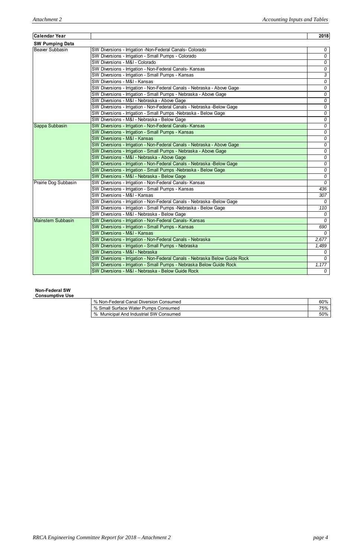## **Non-Federal SW**

**Consumptive Use** 

| % Non-Federal Canal Diversion Consumed | 60% |
|----------------------------------------|-----|
| % Small Surface Water Pumps Consumed   | 75% |
| % Municipal And Industrial SW Consumed | 50% |

| <b>SW Pumping Data</b><br>SW Diversions - Irrigation -Non-Federal Canals- Colorado<br>SW Diversions - Irrigation - Small Pumps - Colorado<br>SW Diversions - M&I - Colorado<br>SW Diversions - Irrigation - Non-Federal Canals- Kansas<br>SW Diversions - Irrigation - Small Pumps - Kansas<br>SW Diversions - M&I - Kansas<br>SW Diversions - Irrigation - Non-Federal Canals - Nebraska - Above Gage<br>SW Diversions - Irrigation - Small Pumps - Nebraska - Above Gage<br>SW Diversions - M&I - Nebraska - Above Gage<br>SW Diversions - Irrigation - Non-Federal Canals - Nebraska -Below Gage<br>SW Diversions - Irrigation - Small Pumps - Nebraska - Below Gage | 2018           |
|-------------------------------------------------------------------------------------------------------------------------------------------------------------------------------------------------------------------------------------------------------------------------------------------------------------------------------------------------------------------------------------------------------------------------------------------------------------------------------------------------------------------------------------------------------------------------------------------------------------------------------------------------------------------------|----------------|
| <b>Beaver Subbasin</b>                                                                                                                                                                                                                                                                                                                                                                                                                                                                                                                                                                                                                                                  |                |
|                                                                                                                                                                                                                                                                                                                                                                                                                                                                                                                                                                                                                                                                         | 0              |
|                                                                                                                                                                                                                                                                                                                                                                                                                                                                                                                                                                                                                                                                         | 0              |
|                                                                                                                                                                                                                                                                                                                                                                                                                                                                                                                                                                                                                                                                         | 0              |
|                                                                                                                                                                                                                                                                                                                                                                                                                                                                                                                                                                                                                                                                         | $\overline{0}$ |
|                                                                                                                                                                                                                                                                                                                                                                                                                                                                                                                                                                                                                                                                         | $\overline{3}$ |
|                                                                                                                                                                                                                                                                                                                                                                                                                                                                                                                                                                                                                                                                         | 0              |
|                                                                                                                                                                                                                                                                                                                                                                                                                                                                                                                                                                                                                                                                         | $\overline{0}$ |
|                                                                                                                                                                                                                                                                                                                                                                                                                                                                                                                                                                                                                                                                         | $\overline{0}$ |
|                                                                                                                                                                                                                                                                                                                                                                                                                                                                                                                                                                                                                                                                         | 0              |
|                                                                                                                                                                                                                                                                                                                                                                                                                                                                                                                                                                                                                                                                         | 0              |
|                                                                                                                                                                                                                                                                                                                                                                                                                                                                                                                                                                                                                                                                         | 0              |
| SW Diversions - M&I - Nebraska - Below Gage                                                                                                                                                                                                                                                                                                                                                                                                                                                                                                                                                                                                                             | 0              |
| SW Diversions - Irrigation - Non-Federal Canals- Kansas<br>Sappa Subbasin                                                                                                                                                                                                                                                                                                                                                                                                                                                                                                                                                                                               | 0              |
| SW Diversions - Irrigation - Small Pumps - Kansas                                                                                                                                                                                                                                                                                                                                                                                                                                                                                                                                                                                                                       | 0              |
| SW Diversions - M&I - Kansas                                                                                                                                                                                                                                                                                                                                                                                                                                                                                                                                                                                                                                            | 0              |
| SW Diversions - Irrigation - Non-Federal Canals - Nebraska - Above Gage                                                                                                                                                                                                                                                                                                                                                                                                                                                                                                                                                                                                 | 0              |
| SW Diversions - Irrigation - Small Pumps - Nebraska - Above Gage                                                                                                                                                                                                                                                                                                                                                                                                                                                                                                                                                                                                        | 0              |
| SW Diversions - M&I - Nebraska - Above Gage                                                                                                                                                                                                                                                                                                                                                                                                                                                                                                                                                                                                                             | 0              |
| SW Diversions - Irrigation - Non-Federal Canals - Nebraska -Below Gage                                                                                                                                                                                                                                                                                                                                                                                                                                                                                                                                                                                                  | 0              |
| SW Diversions - Irrigation - Small Pumps - Nebraska - Below Gage                                                                                                                                                                                                                                                                                                                                                                                                                                                                                                                                                                                                        | $\overline{0}$ |
| SW Diversions - M&I - Nebraska - Below Gage                                                                                                                                                                                                                                                                                                                                                                                                                                                                                                                                                                                                                             | 0              |
| SW Diversions - Irrigation - Non-Federal Canals- Kansas<br>Prairie Dog Subbasin                                                                                                                                                                                                                                                                                                                                                                                                                                                                                                                                                                                         | $\mathcal{O}$  |
| SW Diversions - Irrigation - Small Pumps - Kansas                                                                                                                                                                                                                                                                                                                                                                                                                                                                                                                                                                                                                       | 436            |
| SW Diversions - M&I - Kansas                                                                                                                                                                                                                                                                                                                                                                                                                                                                                                                                                                                                                                            | 307            |
| SW Diversions - Irrigation - Non-Federal Canals - Nebraska -Below Gage                                                                                                                                                                                                                                                                                                                                                                                                                                                                                                                                                                                                  | $\theta$       |
| SW Diversions - Irrigation - Small Pumps - Nebraska - Below Gage                                                                                                                                                                                                                                                                                                                                                                                                                                                                                                                                                                                                        | 110            |
| SW Diversions - M&I - Nebraska - Below Gage                                                                                                                                                                                                                                                                                                                                                                                                                                                                                                                                                                                                                             | $\mathcal O$   |
| <b>Mainstem Subbasin</b><br>SW Diversions - Irrigation - Non-Federal Canals- Kansas                                                                                                                                                                                                                                                                                                                                                                                                                                                                                                                                                                                     | 0              |
| SW Diversions - Irrigation - Small Pumps - Kansas                                                                                                                                                                                                                                                                                                                                                                                                                                                                                                                                                                                                                       | 690            |
| SW Diversions - M&I - Kansas                                                                                                                                                                                                                                                                                                                                                                                                                                                                                                                                                                                                                                            | 0              |
| SW Diversions - Irrigation - Non-Federal Canals - Nebraska<br>2,677                                                                                                                                                                                                                                                                                                                                                                                                                                                                                                                                                                                                     |                |
| SW Diversions - Irrigation - Small Pumps - Nebraska<br>1,489                                                                                                                                                                                                                                                                                                                                                                                                                                                                                                                                                                                                            |                |
| SW Diversions - M&I - Nebraska                                                                                                                                                                                                                                                                                                                                                                                                                                                                                                                                                                                                                                          | 0              |
| SW Diversions - Irrigation - Non-Federal Canals - Nebraska Below Guide Rock                                                                                                                                                                                                                                                                                                                                                                                                                                                                                                                                                                                             | 0              |
| SW Diversions - Irrigation - Small Pumps - Nebraska Below Guide Rock<br>1,177                                                                                                                                                                                                                                                                                                                                                                                                                                                                                                                                                                                           |                |
| SW Diversions - M&I - Nebraska - Below Guide Rock                                                                                                                                                                                                                                                                                                                                                                                                                                                                                                                                                                                                                       | 0              |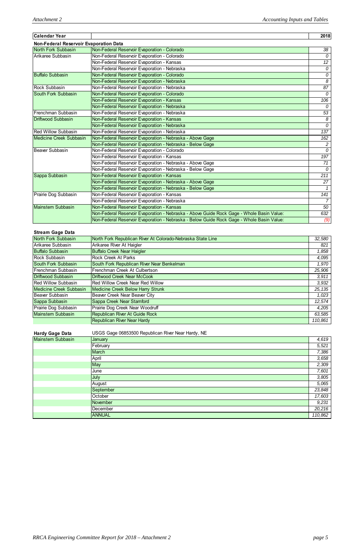| Calendar Year                          |                                                                                           | 2018            |
|----------------------------------------|-------------------------------------------------------------------------------------------|-----------------|
| Non-Federal Reservoir Evaporation Data |                                                                                           |                 |
| North Fork Subbasin                    | Non-Federal Reservoir Evaporation - Colorado                                              | 38              |
| Arikaree Subbasin                      | Non-Federal Reservoir Evaporation - Colorado                                              | $\Omega$        |
|                                        | Non-Federal Reservoir Evaporation - Kansas                                                | 12 <sup>°</sup> |
|                                        | Non-Federal Reservoir Evaporation - Nebraska                                              | 0               |
| <b>Buffalo Subbasin</b>                | Non-Federal Reservoir Evaporation - Colorado                                              | $\overline{0}$  |
|                                        | Non-Federal Reservoir Evaporation - Nebraska                                              | 8               |
| <b>Rock Subbasin</b>                   | Non-Federal Reservoir Evaporation - Nebraska                                              | 87              |
| <b>South Fork Subbasin</b>             | Non-Federal Reservoir Evaporation - Colorado                                              | $\mathcal{O}$   |
|                                        | Non-Federal Reservoir Evaporation - Kansas                                                | 106             |
|                                        | Non-Federal Reservoir Evaporation - Nebraska                                              | 0               |
| <b>I</b> Frenchman Subbasin            | Non-Federal Reservoir Evaporation - Nebraska                                              | 53              |
| Driftwood Subbasin                     | Non-Federal Reservoir Evaporation - Kansas                                                | 8               |
|                                        | Non-Federal Reservoir Evaporation - Nebraska                                              | $\mathcal{O}$   |
| <b>Red Willow Subbasin</b>             | Non-Federal Reservoir Evaporation - Nebraska                                              | 137             |
| <b>Medicine Creek Subbasin</b>         | Non-Federal Reservoir Evaporation - Nebraska - Above Gage                                 | 162             |
|                                        | Non-Federal Reservoir Evaporation - Nebraska - Below Gage                                 | $\overline{2}$  |
| Beaver Subbasin                        | Non-Federal Reservoir Evaporation - Colorado                                              | 0               |
|                                        | Non-Federal Reservoir Evaporation - Kansas                                                | 197             |
|                                        | Non-Federal Reservoir Evaporation - Nebraska - Above Gage                                 | 71              |
|                                        | Non-Federal Reservoir Evaporation - Nebraska - Below Gage                                 | $\mathcal{O}$   |
| Sappa Subbasin                         | Non-Federal Reservoir Evaporation - Kansas                                                | 211             |
|                                        | Non-Federal Reservoir Evaporation - Nebraska - Above Gage                                 | 27              |
|                                        | Non-Federal Reservoir Evaporation - Nebraska - Below Gage                                 | 1               |
| Prairie Dog Subbasin                   | Non-Federal Reservoir Evaporation - Kansas                                                | 141             |
|                                        | Non-Federal Reservoir Evaporation - Nebraska                                              | $\overline{7}$  |
| <b>Mainstem Subbasin</b>               | Non-Federal Reservoir Evaporation - Kansas                                                | 50              |
|                                        | Non-Federal Reservoir Evaporation - Nebraska - Above Guide Rock Gage - Whole Basin Value: | 632             |
|                                        | Non-Federal Reservoir Evaporation - Nebraska - Below Guide Rock Gage - Whole Basin Value: | (9)             |

## **Stream Gage Data**

| North Fork Subbasin            | North Fork Republican River At Colorado-Nebraska State Line | 32,580  |
|--------------------------------|-------------------------------------------------------------|---------|
| Arikaree Subbasin              | Arikaree River At Haigler                                   | 821     |
| <b>Buffalo Subbasin</b>        | <b>Buffalo Creek Near Haigler</b>                           | 1,858   |
| <b>Rock Subbasin</b>           | <b>Rock Creek At Parks</b>                                  | 4,095   |
| South Fork Subbasin            | South Fork Republican River Near Benkelman                  | 1,970   |
| <b>Frenchman Subbasin</b>      | Frenchman Creek At Culbertson                               | 25,906  |
| Driftwood Subbasin             | Driftwood Creek Near McCook                                 | 3,911   |
| <b>Red Willow Subbasin</b>     | <b>Red Willow Creek Near Red Willow</b>                     | 3,932   |
| <b>Medicine Creek Subbasin</b> | Medicine Creek Below Harry Strunk                           | 25, 135 |
| Beaver Subbasin                | Beaver Creek Near Beaver City                               | 1,023   |
| Sappa Subbasin                 | Sappa Creek Near Stamford                                   | 12,574  |
| Prairie Dog Subbasin           | Prairie Dog Creek Near Woodruff                             | 4,205   |
| Mainstem Subbasin              | Republican River At Guide Rock                              | 63,585  |
|                                | <b>Republican River Near Hardy</b>                          | 110,861 |

| <b>Hardy Gage Data</b>   | USGS Gage 06853500 Republican River Near Hardy, NE |        |
|--------------------------|----------------------------------------------------|--------|
| <b>Mainstem Subbasin</b> | January                                            | 4,619  |
|                          | February                                           | 5,521  |
|                          | <b>March</b>                                       | 7,386  |
|                          | April                                              | 3,658  |
|                          | May                                                | 2,309  |
|                          | June                                               | 7,601  |
|                          | July                                               | 3,805  |
|                          | August                                             | 5,065  |
|                          | <b>September</b>                                   | 23,848 |
|                          | October                                            | 17,603 |
|                          | November                                           | 9,231  |
|                          | In 1                                               | 0.0010 |

|  | December      | $\overline{\phantom{a}}$<br>. זני<br>- - - -<br>$-U.L$<br>. |
|--|---------------|-------------------------------------------------------------|
|  | <b>ANNUAL</b> | $\sim$<br>.1<br>.862<br>.                                   |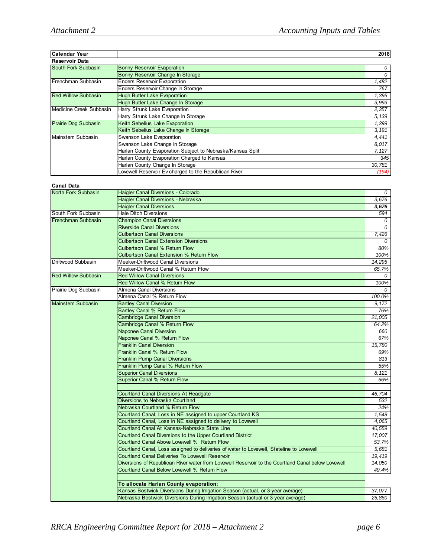| Calendar Year              |                                                            | 2018   |
|----------------------------|------------------------------------------------------------|--------|
| <b>Reservoir Data</b>      |                                                            |        |
| South Fork Subbasin        | <b>Bonny Reservoir Evaporation</b>                         | 0      |
|                            | Bonny Reservoir Change In Storage                          | 0      |
| Frenchman Subbasin         | <b>Enders Reservoir Evaporation</b>                        | 1,482  |
|                            | Enders Reservoir Change In Storage                         | 767    |
| <b>Red Willow Subbasin</b> | <b>Hugh Butler Lake Evaporation</b>                        | 1,395  |
|                            | Hugh Butler Lake Change In Storage                         | 3,993  |
| Medicine Creek Subbasin    | Harry Strunk Lake Evaporation                              | 2,357  |
|                            | Harry Strunk Lake Change In Storage                        | 5,139  |
| Prairie Dog Subbasin       | Keith Sebelius Lake Evaporation                            | 1,399  |
|                            | Keith Sebelius Lake Change In Storage                      | 3,191  |
| Mainstem Subbasin          | Swanson Lake Evaporation                                   | 4,441  |
|                            | Swanson Lake Change In Storage                             | 8,017  |
|                            | Harlan County Evaporation Subject to Nebraska/Kansas Split | 7,127  |
|                            | Harlan County Evaporation Charged to Kansas                | 345    |
|                            | Harlan County Change In Storage                            | 30,781 |
|                            | Lovewell Reservoir Ev charged to the Republican River      | (194)  |

#### **Canal Data**

| vanar vata                 |                                                                                                    |          |
|----------------------------|----------------------------------------------------------------------------------------------------|----------|
| <b>North Fork Subbasin</b> | Haigler Canal Diversions - Colorado                                                                | 0        |
|                            | Haigler Canal Diversions - Nebraska                                                                | 3,676    |
|                            | <b>Haigler Canal Diversions</b>                                                                    | 3,676    |
| South Fork Subbasin        | <b>Hale Ditch Diversions</b>                                                                       | 594      |
| Frenchman Subbasin         | <b>Champion Canal Diversions</b>                                                                   | $\theta$ |
|                            | <b>Riverside Canal Diversions</b>                                                                  | 0        |
|                            | <b>Culbertson Canal Diversions</b>                                                                 | 7,426    |
|                            | <b>Culbertson Canal Extension Diversions</b>                                                       | $\Omega$ |
|                            | <b>Culbertson Canal % Return Flow</b>                                                              | 80%      |
|                            | <b>Culbertson Canal Extension % Return Flow</b>                                                    | 100%     |
| Driftwood Subbasin         | Meeker-Driftwood Canal Diversions                                                                  | 14,295   |
|                            | Meeker-Driftwood Canal % Return Flow                                                               | 65.7%    |
| <b>Red Willow Subbasin</b> | <b>Red Willow Canal Diversions</b>                                                                 | 0        |
|                            | <b>Red Willow Canal % Return Flow</b>                                                              | 100%     |
| Prairie Dog Subbasin       | Almena Canal Diversions                                                                            |          |
|                            | Almena Canal % Return Flow                                                                         | 100.0%   |
| Mainstem Subbasin          | <b>Bartley Canal Diversion</b>                                                                     | 9,172    |
|                            | <b>Bartley Canal % Return Flow</b>                                                                 | 76%      |
|                            | <b>Cambridge Canal Diversion</b>                                                                   | 21,005   |
|                            | <b>Cambridge Canal % Return Flow</b>                                                               | 64.2%    |
|                            | <b>Naponee Canal Diversion</b>                                                                     | 660      |
|                            | Naponee Canal % Return Flow                                                                        | 67%      |
|                            | <b>Franklin Canal Diversion</b>                                                                    | 15,780   |
|                            | Franklin Canal % Return Flow                                                                       | 69%      |
|                            | <b>Franklin Pump Canal Diversions</b>                                                              | 813      |
|                            | Franklin Pump Canal % Return Flow                                                                  | 55%      |
|                            | <b>Superior Canal Diversions</b>                                                                   | 8,121    |
|                            | <b>Superior Canal % Return Flow</b>                                                                | 66%      |
|                            |                                                                                                    |          |
|                            | <b>Courtland Canal Diversions At Headgate</b>                                                      | 46,704   |
|                            | Diversions to Nebraska Courtland                                                                   | 532      |
|                            | Nebraska Courtland % Return Flow                                                                   | 24%      |
|                            | Courtland Canal, Loss in NE assigned to upper Courtland KS                                         | 1,548    |
|                            | Courtland Canal, Loss in NE assigned to delivery to Lovewell                                       | 4.065    |
|                            | Courtland Canal At Kansas-Nebraska State Line                                                      | 40,559   |
|                            | Courtland Canal Diversions to the Upper Courtland District                                         | 17,007   |
|                            | Courtland Canal Above Lovewell % Return Flow                                                       | 53.7%    |
|                            | Courtland Canal, Loss assigned to deliveries of water to Lovewell, Stateline to Lovewell           | 5,681    |
|                            | Courtland Canal Deliveries To Lovewell Reservoir                                                   | 19,419   |
|                            | Diversions of Republican River water from Lovewell Reservoir to the Courtland Canal below Lovewell | 14,050   |
|                            | Courtland Canal Below Lovewell % Return Flow                                                       | 49.4%    |
|                            | To allocate Harlan County evaporation:                                                             |          |
|                            | Kansas Bostwick Diversions During Irrigation Season (actual, or 3-year average)                    | 37,077   |
|                            | Nebraska Bostwick Diversions During Irrigation Season (actual or 3-year average)                   | 25,860   |
|                            |                                                                                                    |          |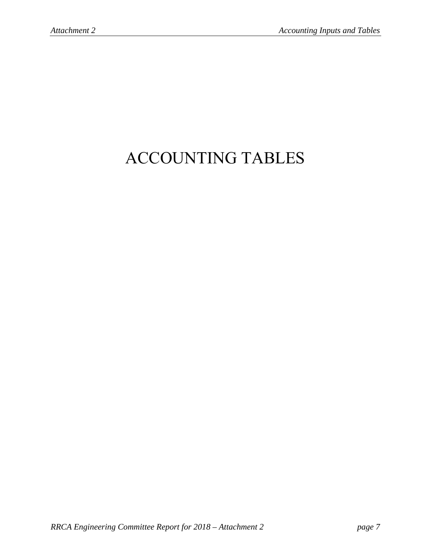# ACCOUNTING TABLES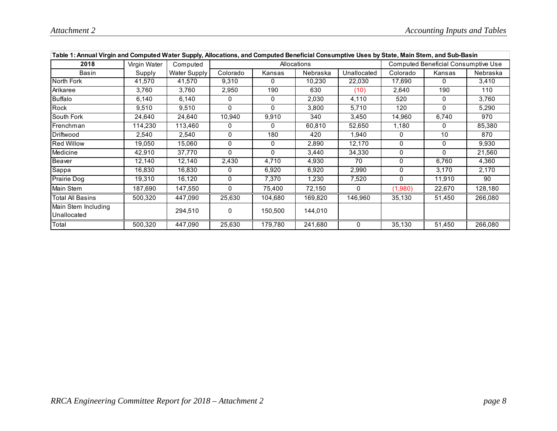| Table 1: Annual Virgin and Computed Water Supply, Allocations, and Computed Beneficial Consumptive Uses by State, Main Stem, and Sub-Basin |              |              |          |              |             |             |          |                                     |          |
|--------------------------------------------------------------------------------------------------------------------------------------------|--------------|--------------|----------|--------------|-------------|-------------|----------|-------------------------------------|----------|
| 2018                                                                                                                                       | Virgin Water | Computed     |          |              | Allocations |             |          | Computed Beneficial Consumptive Use |          |
| Basin                                                                                                                                      | Supply       | Water Supply | Colorado | Kansas       | Nebraska    | Unallocated | Colorado | Kansas                              | Nebraska |
| North Fork                                                                                                                                 | 41,570       | 41,570       | 9,310    | 0            | 10,230      | 22,030      | 17,690   | 0                                   | 3,410    |
| Arikaree                                                                                                                                   | 3,760        | 3,760        | 2,950    | 190          | 630         | (10)        | 2,640    | 190                                 | 110      |
| Buffalo                                                                                                                                    | 6,140        | 6,140        | 0        | 0            | 2,030       | 4,110       | 520      | 0                                   | 3,760    |
| Rock                                                                                                                                       | 9,510        | 9,510        | 0        | 0            | 3,800       | 5,710       | 120      | 0                                   | 5,290    |
| South Fork                                                                                                                                 | 24,640       | 24,640       | 10,940   | 9,910        | 340         | 3,450       | 14,960   | 6,740                               | 970      |
| Frenchman                                                                                                                                  | 114,230      | 113,460      | 0        | 0            | 60,810      | 52,650      | 1,180    | 0                                   | 85,380   |
| Driftwood                                                                                                                                  | 2,540        | 2,540        | 0        | 180          | 420         | 1,940       | 0        | 10                                  | 870      |
| <b>Red Willow</b>                                                                                                                          | 19,050       | 15,060       | 0        | 0            | 2,890       | 12,170      | 0        | 0                                   | 9,930    |
| Medicine                                                                                                                                   | 42,910       | 37,770       | 0        | $\mathbf{0}$ | 3,440       | 34,330      | 0        | 0                                   | 21,560   |
| Beaver                                                                                                                                     | 12,140       | 12,140       | 2,430    | 4,710        | 4,930       | 70          | 0        | 6,760                               | 4,360    |
| Sappa                                                                                                                                      | 16,830       | 16,830       | 0        | 6,920        | 6,920       | 2,990       | 0        | 3,170                               | 2,170    |
| Prairie Dog                                                                                                                                | 19,310       | 16,120       | 0        | 7,370        | 1,230       | 7,520       | 0        | 11,910                              | 90       |
| Main Stem                                                                                                                                  | 187,690      | 147,550      | 0        | 75,400       | 72,150      | 0           | (1,980)  | 22,670                              | 128,180  |
| <b>Total All Basins</b>                                                                                                                    | 500,320      | 447,090      | 25,630   | 104,680      | 169,820     | 146,960     | 35,130   | 51,450                              | 266,080  |
| Main Stem Including<br>Unallocated                                                                                                         |              | 294,510      | 0        | 150,500      | 144,010     |             |          |                                     |          |
| Total                                                                                                                                      | 500,320      | 447,090      | 25,630   | 179,780      | 241,680     | 0           | 35,130   | 51,450                              | 266,080  |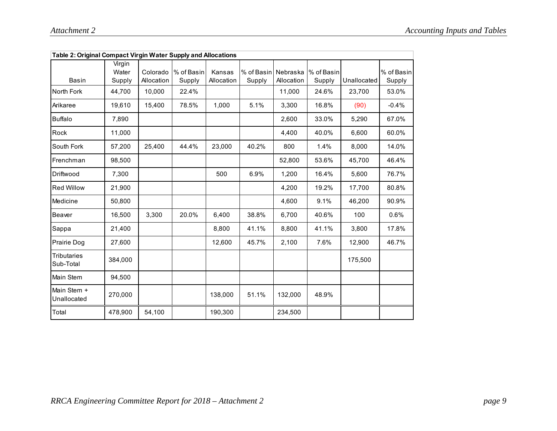| Table 2: Original Compact Virgin Water Supply and Allocations |                           |                        |                      |                      |                      |                        |                      |             |                      |
|---------------------------------------------------------------|---------------------------|------------------------|----------------------|----------------------|----------------------|------------------------|----------------------|-------------|----------------------|
| <b>Basin</b>                                                  | Virgin<br>Water<br>Supply | Colorado<br>Allocation | % of Basin<br>Supply | Kansas<br>Allocation | % of Basin<br>Supply | Nebraska<br>Allocation | % of Basin<br>Supply | Unallocated | % of Basin<br>Supply |
| North Fork                                                    | 44,700                    | 10,000                 | 22.4%                |                      |                      | 11,000                 | 24.6%                | 23,700      | 53.0%                |
| Arikaree                                                      | 19,610                    | 15,400                 | 78.5%                | 1,000                | 5.1%                 | 3,300                  | 16.8%                | (90)        | $-0.4%$              |
| <b>Buffalo</b>                                                | 7,890                     |                        |                      |                      |                      | 2.600                  | 33.0%                | 5,290       | 67.0%                |
| Rock                                                          | 11,000                    |                        |                      |                      |                      | 4,400                  | 40.0%                | 6,600       | 60.0%                |
| South Fork                                                    | 57,200                    | 25,400                 | 44.4%                | 23,000               | 40.2%                | 800                    | 1.4%                 | 8,000       | 14.0%                |
| Frenchman                                                     | 98.500                    |                        |                      |                      |                      | 52,800                 | 53.6%                | 45,700      | 46.4%                |
| Driftwood                                                     | 7,300                     |                        |                      | 500                  | 6.9%                 | 1.200                  | 16.4%                | 5,600       | 76.7%                |
| <b>Red Willow</b>                                             | 21,900                    |                        |                      |                      |                      | 4,200                  | 19.2%                | 17,700      | 80.8%                |
| Medicine                                                      | 50,800                    |                        |                      |                      |                      | 4,600                  | 9.1%                 | 46,200      | 90.9%                |
| Beaver                                                        | 16,500                    | 3,300                  | 20.0%                | 6,400                | 38.8%                | 6,700                  | 40.6%                | 100         | 0.6%                 |
| Sappa                                                         | 21,400                    |                        |                      | 8,800                | 41.1%                | 8,800                  | 41.1%                | 3,800       | 17.8%                |
| Prairie Dog                                                   | 27,600                    |                        |                      | 12,600               | 45.7%                | 2,100                  | 7.6%                 | 12,900      | 46.7%                |
| <b>Tributaries</b><br>Sub-Total                               | 384,000                   |                        |                      |                      |                      |                        |                      | 175,500     |                      |
| Main Stem                                                     | 94,500                    |                        |                      |                      |                      |                        |                      |             |                      |
| Main Stem +<br>Unallocated                                    | 270,000                   |                        |                      | 138,000              | 51.1%                | 132,000                | 48.9%                |             |                      |
| Total                                                         | 478,900                   | 54,100                 |                      | 190,300              |                      | 234,500                |                      |             |                      |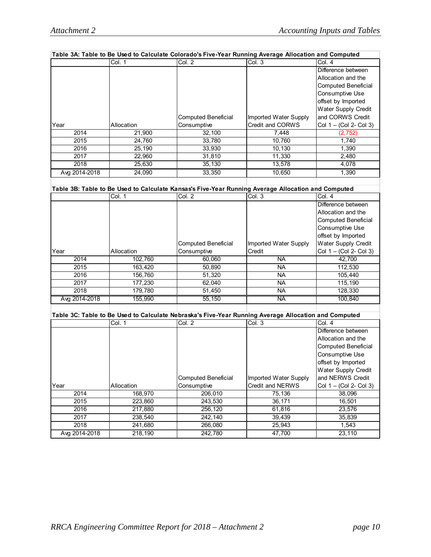|                  |            | Table 3A: Table to Be Used to Calculate Colorado's Five-Year Running Average Allocation and Computed |                       |                            |
|------------------|------------|------------------------------------------------------------------------------------------------------|-----------------------|----------------------------|
|                  | Col. 1     | $\overline{Col}$ . 2                                                                                 | Col.3                 | Col. 4                     |
|                  |            |                                                                                                      |                       | Difference between         |
|                  |            |                                                                                                      |                       | Allocation and the         |
|                  |            |                                                                                                      |                       | <b>Computed Beneficial</b> |
|                  |            |                                                                                                      |                       | Consumptive Use            |
|                  |            |                                                                                                      |                       | offset by Imported         |
|                  |            |                                                                                                      |                       | <b>Water Supply Credit</b> |
|                  |            | <b>Computed Beneficial</b>                                                                           | Imported Water Supply | and CORWS Credit           |
| Year             | Allocation | Consumptive                                                                                          | Credit and CORWS      | Col 1 - (Col 2- Col 3)     |
| 2014             | 21,900     | 32,100                                                                                               | 7,448                 | (2, 752)                   |
| 2015             | 24,760     | 33,780                                                                                               | 10,760                | 1,740                      |
| 2016             | 25,190     | 33,930                                                                                               | 10,130                | 1,390                      |
| 2017             | 22,960     | 31,810                                                                                               | 11,330                | 2,480                      |
| 2018             | 25,630     | 35,130                                                                                               | 13,578                | 4,078                      |
| Avg 2014-2018    | 24,090     | 33,350                                                                                               | 10,650                | 1,390                      |
|                  |            |                                                                                                      |                       |                            |
|                  |            | Table 3B: Table to Be Used to Calculate Kansas's Five-Year Running Average Allocation and Computed   |                       |                            |
|                  | Col. 1     | Col. 2                                                                                               | Col. 3                | Col. 4                     |
|                  |            |                                                                                                      |                       | Difference between         |
|                  |            |                                                                                                      |                       | Allocation and the         |
|                  |            |                                                                                                      |                       | <b>Computed Beneficial</b> |
|                  |            |                                                                                                      |                       | Consumptive Use            |
|                  |            |                                                                                                      |                       | offset by Imported         |
|                  |            | <b>Computed Beneficial</b>                                                                           | Imported Water Supply | Water Supply Credit        |
| Year             | Allocation | Consumptive                                                                                          | Credit                | Col 1 - (Col 2- Col 3)     |
| 2014             | 102,760    | 60,060                                                                                               | <b>NA</b>             | 42,700                     |
| 2015             | 163,420    | 50,890                                                                                               | <b>NA</b>             | 112,530                    |
| 2016             | 156,760    | 51,320                                                                                               | NA                    | 105,440                    |
| 2017             | 177,230    | 62,040                                                                                               | <b>NA</b>             | 115,190                    |
| 2018             | 179,780    | 51,450                                                                                               | <b>NA</b>             | 128,330                    |
|                  |            |                                                                                                      | <b>NA</b>             |                            |
| Avg 2014-2018    | 155,990    | 55,150                                                                                               |                       | 100,840                    |
|                  |            |                                                                                                      |                       |                            |
|                  |            | Table 3C: Table to Be Used to Calculate Nebraska's Five-Year Running Average Allocation and Computed |                       |                            |
|                  | Col. 1     | Col. 2                                                                                               | Col. 3                | Col. 4                     |
|                  |            |                                                                                                      |                       | Difference between         |
|                  |            |                                                                                                      |                       | Allocation and the         |
|                  |            |                                                                                                      |                       | <b>Computed Beneficial</b> |
|                  |            |                                                                                                      |                       | Consumptive Use            |
|                  |            |                                                                                                      |                       | offset by Imported         |
|                  |            |                                                                                                      |                       | Water Supply Credit        |
|                  |            | <b>Computed Beneficial</b>                                                                           | Imported Water Supply | and NERWS Credit           |
| Year             | Allocation | Consumptive                                                                                          | Credit and NERWS      | Col 1 - (Col 2- Col 3)     |
| $\frac{2014}{ }$ | 168,970    | 206,010                                                                                              | 75,136                | 38,096                     |
| 2015             | 223,860    | 243,530                                                                                              | 36,171                | 16,501                     |
| 2016             | 217,880    | 256,120                                                                                              | 61,816                | 23,576                     |
| 2017             | 238,540    | 242,140                                                                                              | 39,439                | 35,839                     |
| $\frac{1}{2018}$ | 241,680    | 266,080                                                                                              | 25,943                | 1,543                      |
| Avg 2014-2018    | 218,190    | 242,780                                                                                              | 47,700                | 23,110                     |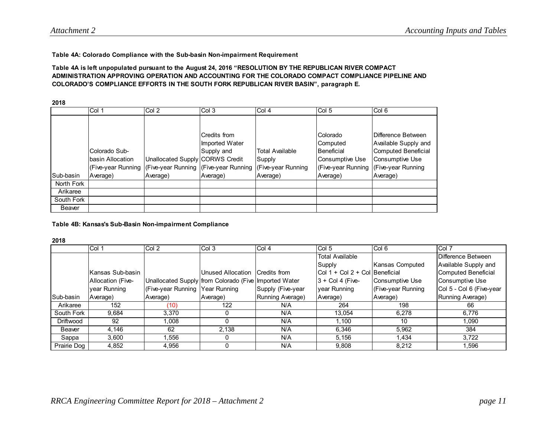#### **Table 4A: Colorado Compliance with the Sub-basin Non-impairment Requirement**

#### **Table 4A is left unpopulated pursuant to the August 24, 2016 "RESOLUTION BY THE REPUBLICAN RIVER COMPACT ADMINISTRATION APPROVING OPERATION AND ACCOUNTING FOR THE COLORADO COMPACT COMPLIANCE PIPELINE AND COLORADO'S COMPLIANCE EFFORTS IN THE SOUTH FORK REPUBLICAN RIVER BASIN", paragraph E.**

**2018**

|            | Col 1                                                   | Col 2                           | Col 3                                                                                                        | Col 4                            | Col <sub>5</sub>                                                                   | Col 6                                                                                                                    |
|------------|---------------------------------------------------------|---------------------------------|--------------------------------------------------------------------------------------------------------------|----------------------------------|------------------------------------------------------------------------------------|--------------------------------------------------------------------------------------------------------------------------|
|            |                                                         |                                 |                                                                                                              |                                  |                                                                                    |                                                                                                                          |
|            | Colorado Sub-<br>basin Allocation<br>(Five-year Running | Unallocated Supply CORWS Credit | Credits from<br>Imported Water<br>Supply and<br>(Five-year Running   (Five-year Running   (Five-year Running | <b>Total Available</b><br>Supply | Colorado<br>Computed<br>Beneficial<br><b>Consumptive Use</b><br>(Five-year Running | Difference Between<br>Available Supply and<br><b>Computed Beneficial</b><br><b>Consumptive Use</b><br>(Five-year Running |
| Sub-basin  | Average)                                                | Average)                        | Average)                                                                                                     | Average)                         | Average)                                                                           | Average)                                                                                                                 |
| North Fork |                                                         |                                 |                                                                                                              |                                  |                                                                                    |                                                                                                                          |
| Arikaree   |                                                         |                                 |                                                                                                              |                                  |                                                                                    |                                                                                                                          |
| South Fork |                                                         |                                 |                                                                                                              |                                  |                                                                                    |                                                                                                                          |
| Beaver     |                                                         |                                 |                                                                                                              |                                  |                                                                                    |                                                                                                                          |

#### **Table 4B: Kansas's Sub-Basin Non-impairment Compliance**

**2018**

|             | Col 1             | Col 2                           | Col 3                                                 | Col 4             | Col 5                              | Col <sub>6</sub>   | Col 7                    |
|-------------|-------------------|---------------------------------|-------------------------------------------------------|-------------------|------------------------------------|--------------------|--------------------------|
|             |                   |                                 |                                                       |                   | <b>Total Available</b>             |                    | Difference Between       |
|             |                   |                                 |                                                       |                   | Supply                             | Kansas Computed    | Available Supply and     |
|             | Kansas Sub-basin  |                                 | Unused Allocation Credits from                        |                   | Col $1 +$ Col $2 +$ Col Beneficial |                    | Computed Beneficial      |
|             | Allocation (Five- |                                 | Unallocated Supply from Colorado (Five Imported Water |                   | $3 +$ Col 4 (Five-                 | Consumptive Use    | Consumptive Use          |
|             | year Running      | (Five-year Running Year Running |                                                       | Supply (Five-year | year Running                       | (Five-year Running | Col 5 - Col 6 (Five-year |
| Sub-basin   | Average)          | Average)                        | Average)                                              | Running Average)  | Average)                           | Average)           | Running Average)         |
| Arikaree    | 152               | (10)                            | 122                                                   | N/A               | 264                                | 198                | 66                       |
| South Fork  | 9,684             | 3,370                           |                                                       | N/A               | 13,054                             | 6,278              | 6,776                    |
| Driftwood   | 92                | 0.008                           |                                                       | N/A               | 1.100                              | 10                 | 1.090                    |
| Beaver      | 4.146             | 62                              | 2.138                                                 | N/A               | 6.346                              | 5.962              | 384                      |
| Sappa       | 3.600             | .556                            |                                                       | N/A               | 5.156                              | 1.434              | 3,722                    |
| Prairie Dog | 4,852             | 4,956                           |                                                       | N/A               | 9,808                              | 8,212              | 1,596                    |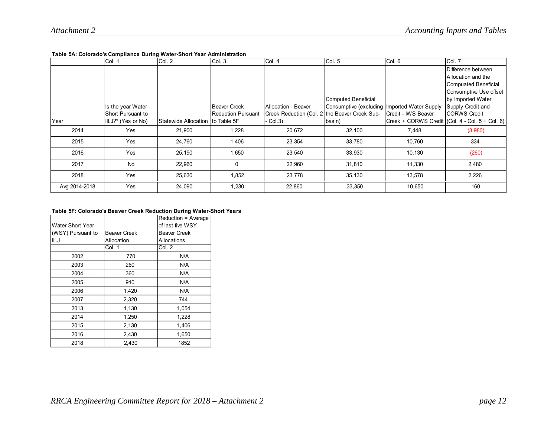#### **Table 5A: Colorado's Compliance During Water-Short Year Administration**

|               | Col. 1                                                        | Col. 2                            | Col.3                                            | Col. 4                                                                                 | Col. 5                                                                        | Col. 6                                                                   | Col. 7                                                                                                                                                       |
|---------------|---------------------------------------------------------------|-----------------------------------|--------------------------------------------------|----------------------------------------------------------------------------------------|-------------------------------------------------------------------------------|--------------------------------------------------------------------------|--------------------------------------------------------------------------------------------------------------------------------------------------------------|
| Year          | Is the year Water<br>Short Pursuant to<br>III.J?* (Yes or No) | Statewide Allocation Ito Table 5F | <b>Beaver Creek</b><br><b>Reduction Pursuant</b> | Allocation - Beaver<br>Creek Reduction (Col. 2 the Beaver Creek Sub-<br>$\cdot$ Col.3) | Computed Beneficial<br>Consumptive (excluding Imported Water Supply<br>basin) | Credit - IWS Beaver<br>Creek + CORWS Credit $(Col. 4 - Col. 5 + Col. 6)$ | Difference between<br>Allocation and the<br>Compuated Beneficial<br>Consumptive Use offset<br>by Imported Water<br>Supply Credit and<br><b>ICORWS Credit</b> |
|               |                                                               |                                   |                                                  |                                                                                        |                                                                               |                                                                          |                                                                                                                                                              |
| 2014          | Yes                                                           | 21,900                            | 1,228                                            | 20,672                                                                                 | 32,100                                                                        | 7,448                                                                    | (3,980)                                                                                                                                                      |
| 2015          | Yes                                                           | 24,760                            | 1,406                                            | 23,354                                                                                 | 33,780                                                                        | 10,760                                                                   | 334                                                                                                                                                          |
| 2016          | Yes                                                           | 25,190                            | 1,650                                            | 23,540                                                                                 | 33,930                                                                        | 10,130                                                                   | (260)                                                                                                                                                        |
| 2017          | <b>No</b>                                                     | 22,960                            | 0                                                | 22,960                                                                                 | 31,810                                                                        | 11,330                                                                   | 2,480                                                                                                                                                        |
| 2018          | Yes                                                           | 25,630                            | 1,852                                            | 23,778                                                                                 | 35,130                                                                        | 13,578                                                                   | 2,226                                                                                                                                                        |
| Avg 2014-2018 | Yes                                                           | 24,090                            | 1,230                                            | 22,860                                                                                 | 33,350                                                                        | 10,650                                                                   | 160                                                                                                                                                          |

#### **Table 5F: Colorado's Beaver Creek Reduction During Water-Short Years**

| Water Short Year  |                     | Reduction = Average<br>of last five WSY |
|-------------------|---------------------|-----------------------------------------|
| (WSY) Pursuant to | <b>Beaver Creek</b> | <b>Beaver Creek</b>                     |
| III.J             | Allocation          | Allocations                             |
|                   | Col. 1              | Col. 2                                  |
| 2002              | 770                 | N/A                                     |
| 2003              | 260                 | N/A                                     |
| 2004              | 360                 | N/A                                     |
| 2005              | 910                 | N/A                                     |
| 2006              | 1,420               | N/A                                     |
| 2007              | 2,320               | 744                                     |
| 2013              | 1,130               | 1,054                                   |
| 2014              | 1,250               | 1,228                                   |
| 2015              | 2,130               | 1,406                                   |
| 2016              | 2,430               | 1,650                                   |
| 2018              | 2,430               | 1852                                    |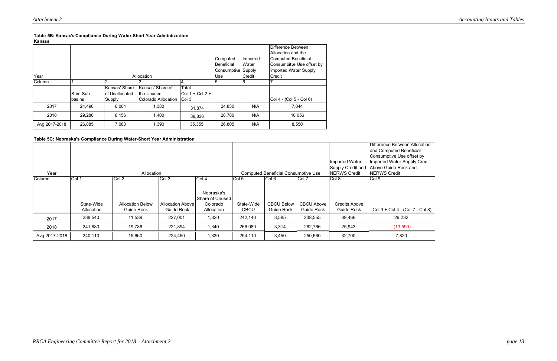**Kansas**

|               |          |                |                     |                    | Computed<br>Beneficial | Imported<br>Water | Difference Between<br>Allocation and the<br><b>Computed Beneficial</b><br>Consumpitve Use offset by |
|---------------|----------|----------------|---------------------|--------------------|------------------------|-------------------|-----------------------------------------------------------------------------------------------------|
|               |          |                |                     |                    | Consumptive Supply     |                   | <b>Imported Water Supply</b>                                                                        |
| Year          |          |                | Allocation          | Use                | Credit                 | Credit            |                                                                                                     |
| Column        |          | っ              |                     | 4                  | b                      |                   |                                                                                                     |
|               |          | Kansas' Share  | Kansas' Share of    | Total              |                        |                   |                                                                                                     |
|               | Sum Sub- | of Unallocated | Ithe Unused         | $ Col 1 + Col 2 +$ |                        |                   |                                                                                                     |
|               | basins   | Supply         | Colorado Allocation | Col 3              |                        |                   | Col 4 - (Col 5 - Col 6)                                                                             |
| 2017          | 24,490   | 6,004          | 1,380               | 31,874             | 24,830                 | N/A               | 7,044                                                                                               |
| 2018          | 29,280   | 8,156          | 1,400               | 38,836             | 28,780                 | N/A               | 10,056                                                                                              |
| Avg 2017-2018 | 26,885   | 7,080          | 1,390               | 35,355             | 26,805                 | N/A               | 8,550                                                                                               |

## **Table 5B: Kansas's Compliance During Water-Short Year Administration**



|               |                          |                                       |                                       |                                                         |                                            |                                        |                                        | Imported Water                     | Difference Between Allocation<br>and Computed Beneficial<br>Consumptive Use offset by<br>Imported Water Supply Credit<br>Supply Credit and Above Guide Rock and |
|---------------|--------------------------|---------------------------------------|---------------------------------------|---------------------------------------------------------|--------------------------------------------|----------------------------------------|----------------------------------------|------------------------------------|-----------------------------------------------------------------------------------------------------------------------------------------------------------------|
| Year          | Allocation               |                                       |                                       |                                                         | <b>Computed Beneficial Consumptive Use</b> |                                        |                                        | <b>NERWS Credit</b>                | <b>INERWS Credit</b>                                                                                                                                            |
| Column        | Col 1                    | Col 2                                 | Col 3                                 | Col 4                                                   | Col 5                                      | Col 6                                  | Col 7                                  | Col 8                              | Col <sub>9</sub>                                                                                                                                                |
|               | State-Wide<br>Allocation | <b>Allocation Below</b><br>Guide Rock | <b>Allocation Above</b><br>Guide Rock | Nebraska's<br>Share of Unused<br>Colorado<br>Allocation | State-Wide<br><b>CBCU</b>                  | <b>CBCU Below</b><br><b>Guide Rock</b> | <b>CBCU Above</b><br><b>Guide Rock</b> | <b>Credits Above</b><br>Guide Rock | Col 3 + Col 4 - (Col 7 - Col 8)                                                                                                                                 |
| 2017          | 238,540                  | 11,539                                | 227,001                               | 1,320                                                   | 242,140                                    | 3,585                                  | 238,555                                | 39,466                             | 29,232                                                                                                                                                          |
| 2018          | 241,680                  | 19,786                                | 221,894                               | 1,340                                                   | 266,080                                    | 3,314                                  | 262,766                                | 25,943                             | (13,590)                                                                                                                                                        |
| Avg 2017-2018 | 240,110                  | 15,660                                | 224,450                               | 1,330                                                   | 254,110                                    | 3,450                                  | 250,660                                | 32,700                             | 7,820                                                                                                                                                           |

## **Table 5C: Nebraska's Compliance During Water-Short Year Administration**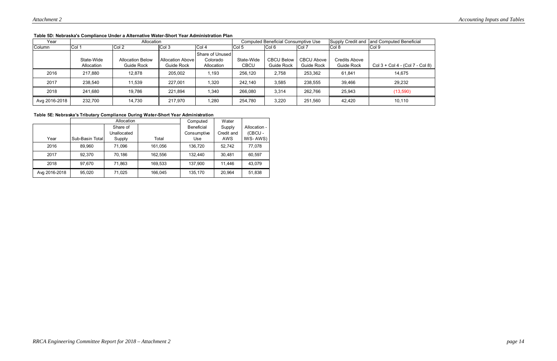|               | rapic op. Hebraska s Odinphance Onder a Alternative Water-Ondit Tear Administration Flan |                                       |                                       |                                           |                                            |                          |                          |                                              |                                 |
|---------------|------------------------------------------------------------------------------------------|---------------------------------------|---------------------------------------|-------------------------------------------|--------------------------------------------|--------------------------|--------------------------|----------------------------------------------|---------------------------------|
| Year          |                                                                                          | Allocation                            |                                       |                                           | <b>Computed Beneficial Consumptive Use</b> |                          |                          | Supply Credit and<br>and Computed Beneficial |                                 |
| Column        | Col :                                                                                    | Col 2                                 | Col 3                                 | Col 4                                     | Col 5                                      | Col 6                    | Col 7                    | $ $ Col 8                                    | Col 9                           |
|               | State-Wide<br>Allocation                                                                 | <b>Allocation Below</b><br>Guide Rock | <b>Allocation Above</b><br>Guide Rock | Share of Unused<br>Colorado<br>Allocation | State-Wide<br><b>CBCU</b>                  | CBCU Below<br>Guide Rock | CBCU Above<br>Guide Rock | Credits Above<br><b>Guide Rock</b>           | Col 3 + Col 4 - (Col 7 - Col 8) |
| 2016          | 217,880                                                                                  | 12,878                                | 205,002                               | 1,193                                     | 256,120                                    | 2,758                    | 253,362                  | 61,841                                       | 14,675                          |
| 2017          | 238,540                                                                                  | 11,539                                | 227,001                               | 1,320                                     | 242,140                                    | 3,585                    | 238,555                  | 39,466                                       | 29,232                          |
| 2018          | 241,680                                                                                  | 19,786                                | 221,894                               | 1,340                                     | 266,080                                    | 3,314                    | 262,766                  | 25,943                                       | (13,590)                        |
| Avg 2016-2018 | 232,700                                                                                  | 14,730                                | 217,970                               | 1,280                                     | 254,780                                    | 3,220                    | 251,560                  | 42,420                                       | 10,110                          |

### **Table 5D: Nebraska's Compliance Under a Alternative Water-Short Year Administration Plan**

|               |                 | Allocation  |         | Computed          | Water      |              |
|---------------|-----------------|-------------|---------|-------------------|------------|--------------|
|               |                 | Share of    |         | <b>Beneficial</b> | Supply     | Allocation - |
|               |                 | Unallocated |         | Consumptive       | Credit and | (CBCU-       |
| Year          | Sub-Basin Total | Supply      | Total   | Use               | AWS        | IWS-AWS)     |
| 2016          | 89.960          | 71,096      | 161.056 | 136.720           | 52.742     | 77,078       |
| 2017          | 92.370          | 70,186      | 162,556 | 132,440           | 30,481     | 60,597       |
| 2018          | 97.670          | 71,863      | 169,533 | 137,900           | 11.446     | 43,079       |
| Avg 2016-2018 | 95.020          | 71,025      | 166,045 | 135,170           | 20,964     | 51,838       |

## **Table 5E: Nebraska's Tributary Compliance During Water-Short Year Administration**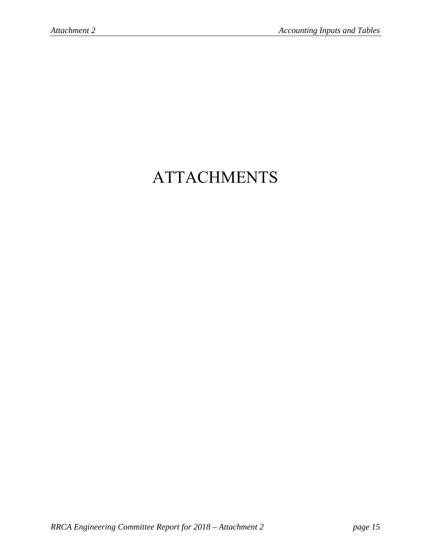# ATTACHMENTS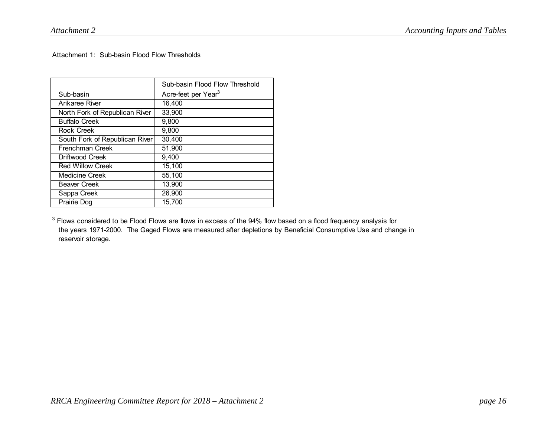Attachment 1: Sub-basin Flood Flow Thresholds

|                                | Sub-basin Flood Flow Threshold  |
|--------------------------------|---------------------------------|
| Sub-basin                      | Acre-feet per Year <sup>3</sup> |
| Arikaree River                 | 16,400                          |
| North Fork of Republican River | 33,900                          |
| <b>Buffalo Creek</b>           | 9,800                           |
| <b>Rock Creek</b>              | 9,800                           |
| South Fork of Republican River | 30,400                          |
| <b>Frenchman Creek</b>         | 51,900                          |
| Driftwood Creek                | 9,400                           |
| <b>Red Willow Creek</b>        | 15.100                          |
| <b>Medicine Creek</b>          | 55,100                          |
| <b>Beaver Creek</b>            | 13,900                          |
| Sappa Creek                    | 26,900                          |
| Prairie Dog                    | 15,700                          |

 $3$  Flows considered to be Flood Flows are flows in excess of the 94% flow based on a flood frequency analysis for the years 1971-2000. The Gaged Flows are measured after depletions by Beneficial Consumptive Use and change in reservoir storage.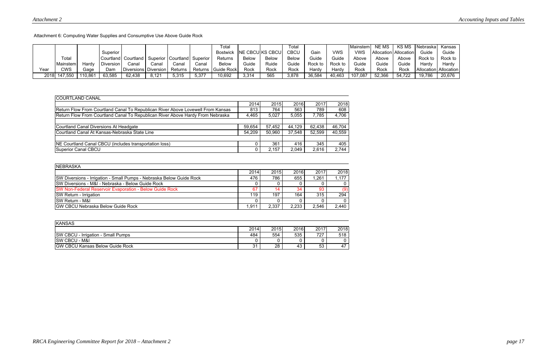Attachment 6: Computing Water Supplies and Consumptive Use Above Guide Rock

|      |              |         |           |                                                         |       |         |       | Total                |              |                          | Total        |         |            | <b>Mainstem</b> | NE MS  | <b>KSMS</b>           | <b>I</b> Nebraska I | Kansas                  |
|------|--------------|---------|-----------|---------------------------------------------------------|-------|---------|-------|----------------------|--------------|--------------------------|--------------|---------|------------|-----------------|--------|-----------------------|---------------------|-------------------------|
|      |              |         | Superior  |                                                         |       |         |       | <b>Bostwick</b>      |              | <b>INE CBCUIKS CBCUI</b> | <b>CBCU</b>  | Gain    | <b>VWS</b> | <b>VWS</b>      |        | Allocation Allocation | Guide               | Guide                   |
|      | Total        |         |           | Courtland   Courtland   Superior   Courtland   Superior |       |         |       | Returns              | <b>Below</b> | <b>Below</b>             | <b>Below</b> | Guide   | Guide      | Above           | Above  | Above                 | Rock .              | Rock to                 |
|      | Mainstem     | Hardv   | Diversion | Canal                                                   | Canal | Canal   | Canal | Below                | Guide        | Ruide                    | Guide        | Rock to | Rock to    | Guide           | Guide  | Guide                 | Hardy               | Hardy                   |
| Year | CWS          | Gaɑe    | Dam       | Diversions   Diversion                                  |       | Returns |       | Returns   Guide Rock | Rock         | Rock                     | Rock         | Hardv   | Hardv      | Rock            | Rock   | Rock                  |                     | Allocation   Allocation |
|      | 2018 147,550 | 110,861 | 63,585    | 62,438                                                  | 8,121 | 5,315   | 5,377 | 10,692               | 3,314        | 565                      | 3,878        | 36,584  | 40,463     | 107,087         | 52,366 | 54,722                | 19,786              | 20,676                  |

| <b>COURTLAND CANAL</b>                                                          |        |        |        |        |        |
|---------------------------------------------------------------------------------|--------|--------|--------|--------|--------|
|                                                                                 | 2014   | 2015   | 2016   | 2017   | 2018   |
| Return Flow From Courtland Canal To Republican River Above Lovewell From Kansas | 813    | 764    | 563    | 789    | 608    |
| Return Flow From Courtland Canal To Republican River Above Hardy From Nebraska  | 4,465  | 5,027  | 5,055  | 7,785  | 4,706  |
|                                                                                 |        |        |        |        |        |
| Courtland Canal Diversions At Headgate                                          | 59,654 | 57,452 | 44,129 | 62.438 | 46,704 |
| Courtland Canal At Kansas-Nebraska State Line                                   | 54,209 | 50,960 | 37,548 | 52,599 | 40,559 |
|                                                                                 |        |        |        |        |        |
| NE Courtland Canal CBCU (includes transportation loss)                          |        | 361    | 416    | 345    | 405    |
| Superior Canal CBCU                                                             |        | 2,157  | 2,049  | 2,616  | 2,744  |

| <b>INEBRASKA</b>                                                     |       |       |       |       |       |
|----------------------------------------------------------------------|-------|-------|-------|-------|-------|
|                                                                      | 2014  | 2015  | 2016  | 2017  | 2018  |
| SW Diversions - Irrigation - Small Pumps - Nebraska Below Guide Rock | 476   | 786   | 655   | 1,261 | 1.177 |
| <b>ISW Diversions - M&amp;I - Nebraska - Below Guide Rock</b>        |       |       |       |       |       |
| <b>ISW Non-Federal Reservoir Evaporation - Below Guide Rock</b>      |       |       | 34    | 93    | (9)   |
| <b>SW Return - Irrigation</b>                                        | 119   | 197   | 164   | 315   | 294   |
| <b>ISW Return - M&amp;I</b>                                          |       |       |       |       |       |
| <b>IGW CBCU Nebraska Below Guide Rock</b>                            | 1.911 | 2,337 | 2,233 | 2,546 | 2,440 |

| <b>KANSAS</b>                             |          |      |      |      |      |
|-------------------------------------------|----------|------|------|------|------|
|                                           | 2014     | 2015 | 2016 | 2017 | 2018 |
| <b>SW CBCU - Irrigation - Small Pumps</b> | 484      | 554  | 535  | 727  | 518  |
| <b>SW CBCU - M&amp;I</b>                  |          |      |      |      |      |
| <b>GW CBCU Kansas Below Guide Rock</b>    | ີ<br>ا ب | 28   | 43   | 53   | 47   |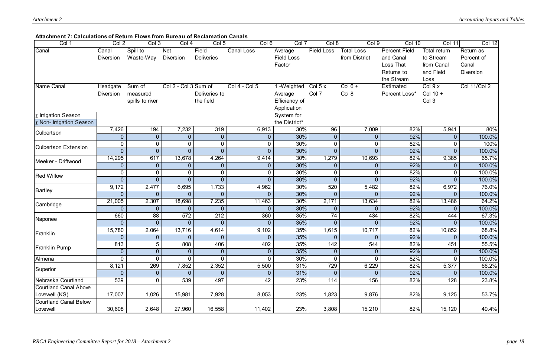## **Attachment 7: Calculations of Return Flows from Bureau of Reclamation Canals**

| Col 1                                                         | Col 2                            | Col 3                                 | Col 4                          | Col 5                         | Col 6                            | Col 7                                                  | Col 8                             | Col 9                              | <b>Col 10</b>                                                              | Col 11                                                       | <b>Col 12</b>                                        |
|---------------------------------------------------------------|----------------------------------|---------------------------------------|--------------------------------|-------------------------------|----------------------------------|--------------------------------------------------------|-----------------------------------|------------------------------------|----------------------------------------------------------------------------|--------------------------------------------------------------|------------------------------------------------------|
| Canal                                                         | Canal<br><b>Diversion</b>        | Spill to<br>Waste-Way                 | <b>Net</b><br><b>Diversion</b> | Field<br><b>Deliveries</b>    | Canal Loss                       | Average<br><b>Field Loss</b><br>Factor                 | <b>Field Loss</b>                 | <b>Total Loss</b><br>from District | <b>Percent Field</b><br>and Canal<br>Loss That<br>Returns to<br>the Stream | Total return<br>to Stream<br>from Canal<br>and Field<br>Loss | Return as<br>Percent of<br>Canal<br><b>Diversion</b> |
| Name Canal                                                    | Headgate<br><b>Diversion</b>     | Sum of<br>measured<br>spills to river | Col 2 - Col 3 Sum of           | Deliveries to<br>the field    | Col 4 - Col 5                    | 1 -Weighted<br>Average<br>Efficiency of<br>Application | Col $5x$<br>Col 7                 | $Col 6 +$<br>Col 8                 | <b>Estimated</b><br>Percent Loss*                                          | Col 9 x<br>Col $10 +$<br>Col 3                               | <b>Col 11/Col 2</b>                                  |
| Σ Irrigation Season<br>$\sqrt{\Sigma}$ Non- Irrigation Season |                                  |                                       |                                |                               |                                  | System for<br>the District*                            |                                   |                                    |                                                                            |                                                              |                                                      |
| <b>Culbertson</b>                                             | 7,426<br>$\theta$                | 194<br>$\overline{0}$                 | 7,232<br>$\overline{0}$        | 319<br>$\boldsymbol{0}$       | 6,913<br>$\overline{0}$          | 30%<br>30%                                             | 96<br>$\overline{0}$              | 7,009<br>$\overline{0}$            | 82%<br>92%                                                                 | 5,941<br>$\overline{0}$                                      | 80%<br>100.0%                                        |
| <b>Culbertson Extension</b>                                   | $\overline{0}$<br>$\Omega$       | $\overline{0}$<br>$\overline{0}$      | $\mathbf 0$<br>$\overline{0}$  | $\mathbf 0$<br>$\overline{0}$ | $\overline{0}$<br>$\Omega$       | 30%<br>30%                                             | $\mathbf 0$<br>$\overline{0}$     | 0<br>$\overline{0}$                | 82%<br>92%                                                                 | 0                                                            | 100%<br>100.0%                                       |
| Meeker - Driftwood                                            | 14,295<br>$\overline{0}$         | 617<br>$\overline{0}$                 | 13,678<br>$\overline{0}$       | 4,264<br>$\theta$             | 9,414<br>$\overline{0}$          | 30%<br>30%                                             | 1,279<br>$\overline{0}$           | 10,693<br>$\overline{0}$           | 82%<br>92%                                                                 | 9,385<br>0                                                   | 65.7%<br>100.0%                                      |
| <b>Red Willow</b>                                             | $\overline{0}$<br>$\overline{0}$ | $\overline{0}$<br>$\overline{0}$      | 0<br>$\overline{0}$            | $\mathbf 0$<br>$\overline{0}$ | $\overline{0}$<br>$\overline{0}$ | 30%<br>30%                                             | 0<br>$\overline{0}$               | 0<br>$\overline{0}$                | 82%<br>92%                                                                 | $\Omega$<br>$\overline{0}$                                   | 100.0%<br>100.0%                                     |
| Bartley                                                       | 9,172<br>$\overline{0}$          | 2,477<br>$\overline{0}$               | 6,695<br>$\overline{0}$        | 1,733<br>$\overline{0}$       | 4,962<br>$\Omega$                | 30%<br>30%                                             | 520<br>$\overline{0}$             | 5,482<br>$\overline{0}$            | 82%<br>92%                                                                 | 6,972<br>$\Omega$                                            | 76.0%<br>100.0%                                      |
| Cambridge                                                     | 21,005<br>$\overline{0}$         | 2,307<br>$\overline{0}$               | 18,698<br>0                    | 7,235<br>$\overline{0}$       | 11,463<br>$\Omega$               | 30%<br>30%                                             | 2,171<br>$\overline{0}$           | 13,634<br>$\overline{0}$           | 82%<br>92%                                                                 | 13,486<br>0                                                  | 64.2%<br>100.0%                                      |
| Naponee                                                       | 660<br>$\overline{0}$            | 88<br>$\overline{0}$                  | 572<br>$\overline{0}$          | 212<br>$\overline{0}$         | 360<br>$\Omega$                  | 35%<br>35%                                             | $\overline{74}$<br>$\overline{0}$ | 434<br>$\overline{0}$              | 82%<br>92%                                                                 | 444<br>$\Omega$                                              | 67.3%<br>100.0%                                      |
| Franklin                                                      | 15,780<br>$\overline{0}$         | 2,064<br>$\overline{0}$               | 13,716<br>$\overline{0}$       | 4,614<br>$\overline{0}$       | 9,102<br>$\overline{0}$          | 35%<br>35%                                             | 1,615<br>$\overline{0}$           | 10,717<br>$\overline{0}$           | 82%<br>92%                                                                 | 10,852<br>$\overline{0}$                                     | 68.8%<br>100.0%                                      |
| <b>Franklin Pump</b>                                          | 813<br>$\theta$                  | 5 <sup>5</sup><br>$\overline{0}$      | 808<br>$\overline{0}$          | 406<br>$\overline{0}$         | 402<br>$\overline{0}$            | 35%<br>35%                                             | $142$<br>$\overline{0}$           | 544<br>$\overline{0}$              | 82%<br>92%                                                                 | 451                                                          | 55.5%<br>100.0%                                      |
| Almena                                                        | $\overline{0}$                   | $\overline{0}$                        | $\overline{0}$                 | $\mathbf 0$                   | $\overline{0}$                   | 30%                                                    | $\overline{0}$                    | $\overline{0}$                     | 82%                                                                        | $\overline{0}$                                               | 100.0%                                               |
| Superior                                                      | 8,121<br>$\theta$                | 269<br>$\overline{0}$                 | 7,852<br>$\overline{0}$        | 2,352<br>$\overline{0}$       | 5,500<br>$\overline{0}$          | 31%<br>31%                                             | 729<br>$\overline{0}$             | 6,229<br>$\overline{0}$            | 82%<br>92%                                                                 | 5,377<br>$\overline{0}$                                      | 66.2%<br>100.0%                                      |
| Nebraska Courtland                                            | 539                              | $\overline{0}$                        | 539                            | 497                           | 42                               | 23%                                                    | 114                               | 156                                | 82%                                                                        | 128                                                          | 23.8%                                                |
| Courtland Canal Above<br>Lovewell (KS)                        | 17,007                           | 1,026                                 | 15,981                         | 7,928                         | 8,053                            | 23%                                                    | 1,823                             | 9,876                              | 82%                                                                        | 9,125                                                        | 53.7%                                                |
| Courtland Canal Below<br>Lovewell                             | 30,608                           | 2,648                                 | 27,960                         | 16,558                        | 11,402                           | 23%                                                    | 3,808                             | 15,210                             | 82%                                                                        | 15,120                                                       | 49.4%                                                |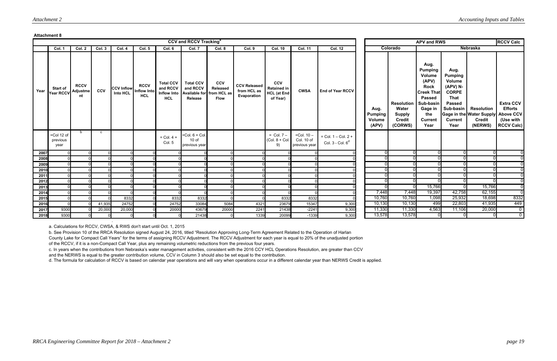#### **Attachment 8**

|              |                                   |                                      |            |                                                  |                           |                                                                  | <b>CCV and RCCV Tracking<sup>a</sup></b>                             |                                              |                                                   |                                                                    |                                                |                                                |                                           |          |                                                                         | <b>APV and RWS</b>                                                                                                                                      |                                                                                                                              |                                                                                     | <b>RCCV Calc</b>                                                     |
|--------------|-----------------------------------|--------------------------------------|------------|--------------------------------------------------|---------------------------|------------------------------------------------------------------|----------------------------------------------------------------------|----------------------------------------------|---------------------------------------------------|--------------------------------------------------------------------|------------------------------------------------|------------------------------------------------|-------------------------------------------|----------|-------------------------------------------------------------------------|---------------------------------------------------------------------------------------------------------------------------------------------------------|------------------------------------------------------------------------------------------------------------------------------|-------------------------------------------------------------------------------------|----------------------------------------------------------------------|
|              | Col. 1                            | Col. 2                               | Col. 3     | Col. 4                                           | Col. 5                    | Col. 6                                                           | Col. 7                                                               | Col. 8                                       | Col. 9                                            | <b>Col. 10</b>                                                     | <b>Col. 11</b>                                 | <b>Col. 12</b>                                 |                                           | Colorado |                                                                         |                                                                                                                                                         |                                                                                                                              | <b>Nebraska</b>                                                                     |                                                                      |
| Year         | <b>Start of</b><br>Year RCCV      | <b>RCCV</b><br><b>Adjustme</b><br>nt | <b>CCV</b> | <b>CCV Inflow</b> Inflow Into<br><b>Into HCL</b> | <b>RCCV</b><br><b>HCL</b> | <b>Total CCV</b><br>and RCCV<br><b>Inflow Into</b><br><b>HCL</b> | <b>Total CCV</b><br>and RCCV<br>Available for from HCL as<br>Release | <b>CCV</b><br><b>Released</b><br><b>Flow</b> | <b>CCV Released</b><br>from HCL as<br>Evaporation | <b>CCV</b><br><b>Retained in</b><br><b>HCL</b> (at End<br>of Year) | <b>CWSA</b>                                    | <b>End of Year RCCV</b>                        | Aug.<br><b>Pumping</b><br>Volume<br>(APV) |          | <b>Resolution</b><br>Water<br><b>Supply</b><br><b>Credit</b><br>(CORWS) | Aug.<br><b>Pumping</b><br>Volume<br>(APV)<br><b>Rock</b><br><b>Creek That</b><br><b>Passed</b><br>Sub-basin<br>Gage in<br>the<br><b>Current</b><br>Year | Aug.<br><b>Pumping</b><br>Volume<br>(APV) N-<br><b>CORPE</b><br>That<br><b>Passed</b><br>Sub-basin<br><b>Current</b><br>Year | <b>Resolution</b><br>Gage in the Water Supply Above CCV<br><b>Credit</b><br>(NERWS) | <b>Extra CCV</b><br><b>Efforts</b><br>(Use with<br><b>RCCV Calc)</b> |
|              | $=$ Col 12 of<br>previous<br>year | b                                    | C          |                                                  |                           | $=$ Col. 4 +<br>Col. 5                                           | $=$ Col. $6 +$ Col.<br>$10$ of<br>previous year                      |                                              |                                                   | $=$ Col. $7 -$<br>$(Col. 8 + Col.$<br>9)                           | $=$ Col. $10 -$<br>Col. 10 of<br>previous year | $=$ Col. 1 – Col. 2 +<br>Col. $3 -$ Col. $6^d$ |                                           |          |                                                                         |                                                                                                                                                         |                                                                                                                              |                                                                                     |                                                                      |
| 2007         |                                   |                                      |            |                                                  |                           |                                                                  |                                                                      |                                              |                                                   |                                                                    |                                                |                                                |                                           |          | $^{(1)}$                                                                |                                                                                                                                                         |                                                                                                                              | $\mathbf{0}$                                                                        |                                                                      |
| 2008         |                                   |                                      |            |                                                  |                           |                                                                  |                                                                      |                                              |                                                   |                                                                    |                                                |                                                |                                           |          |                                                                         |                                                                                                                                                         |                                                                                                                              |                                                                                     |                                                                      |
| 2009         |                                   |                                      |            |                                                  |                           |                                                                  |                                                                      |                                              |                                                   |                                                                    |                                                |                                                |                                           |          |                                                                         |                                                                                                                                                         |                                                                                                                              | $\Omega$                                                                            |                                                                      |
| 2010         |                                   |                                      |            |                                                  |                           |                                                                  |                                                                      |                                              |                                                   |                                                                    |                                                |                                                |                                           |          |                                                                         |                                                                                                                                                         |                                                                                                                              | $\Omega$                                                                            |                                                                      |
| 2011         |                                   |                                      |            |                                                  |                           |                                                                  |                                                                      |                                              |                                                   |                                                                    |                                                |                                                |                                           |          |                                                                         |                                                                                                                                                         |                                                                                                                              | $\Omega$                                                                            |                                                                      |
| 2012<br>2013 |                                   |                                      |            |                                                  |                           |                                                                  |                                                                      |                                              |                                                   |                                                                    |                                                |                                                |                                           |          | n                                                                       | 15,766                                                                                                                                                  |                                                                                                                              | 15,766                                                                              |                                                                      |
| 2014         |                                   |                                      |            |                                                  |                           |                                                                  |                                                                      |                                              |                                                   |                                                                    |                                                |                                                |                                           | 7,448    | 7,448                                                                   | 19,397                                                                                                                                                  | 42,758                                                                                                                       | 62,155                                                                              |                                                                      |
| 2015         |                                   |                                      |            | 8332                                             |                           | 8332                                                             | 8332                                                                 |                                              |                                                   | 8332                                                               | 8332                                           |                                                |                                           | 10,760   | 10,760                                                                  | 1,098                                                                                                                                                   | 25,932                                                                                                                       | 18,698                                                                              | 8332                                                                 |
| 2016         |                                   |                                      | 41,935     | 24752                                            |                           | 24752                                                            | 33084                                                                | 5084                                         | 4321                                              | 23679                                                              | 15347                                          | 9,300                                          |                                           | 10,130   | 10,130                                                                  | 499                                                                                                                                                     | 22,803                                                                                                                       | 41,935                                                                              | 449                                                                  |
| 2017         | 9300                              |                                      | 20,000     | 20,000                                           |                           | 20000                                                            | 43679                                                                | 20000                                        | 2241                                              | 21438                                                              | $-2241$                                        | 9,300                                          |                                           | 11,330   | 11,330                                                                  | 4,563                                                                                                                                                   | 11,106                                                                                                                       | 20,000                                                                              | $\overline{0}$                                                       |
| 2018         | 9300                              |                                      |            |                                                  |                           |                                                                  | 21438                                                                |                                              | 1339                                              | 20099                                                              | $-1339$                                        | 9,300                                          |                                           | 13,578   | 13,578                                                                  |                                                                                                                                                         |                                                                                                                              | $\Omega$                                                                            | $\overline{0}$                                                       |

a. Calculations for RCCV, CWSA, & RWS don't start until Oct. 1, 2015

d. The formula for calculation of RCCV is based on calendar year operations and will vary when operations occur in a different calendar year than NERWS Credit is applied.

c. In years when the contributions from Nebraska's water management activities, consistent with the 2016 CCY HCL Operations Resolution, are greater than CCV and the NERWS is equal to the greater contribution volume, CCV in Column 3 should also be set equal to the contribution.

b. See Provision 10 of the RRCA Resolution signed August 24, 2016, titled "Resolution Approving Long-Term Agreement Related to the Operation of Harlan County Lake for Compact Call Years" for the terms of assigning RCCV Adjustment. The RCCV Adjustment for each year is equal to 20% of the unadjusted portion of the RCCV, if it is a non-Compact Call Year, plus any remaining volumetric reductions from the previous four years.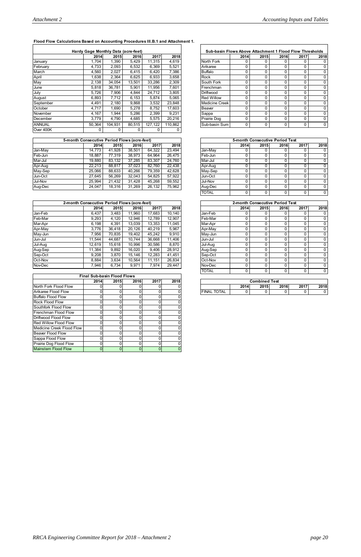## **Flood Flow Calculations Based on Accounting Procedures III.B.1 and Attachment 1.**

|                | Hardy Gage Monthly Data (acre-feet) |             |        |         |         |                        | Sub-basin Flows Above Attachment 1 Flood Flow Thresholds |             |             |      |      |
|----------------|-------------------------------------|-------------|--------|---------|---------|------------------------|----------------------------------------------------------|-------------|-------------|------|------|
|                | 2014                                | <b>2015</b> | 2016   | 2017    | 2018    |                        | 2014                                                     | <b>2015</b> | <b>2016</b> | 2017 | 2018 |
| January        | .704                                | 1,390       | 5,429  | 11,315  | 4,619   | North Fork             | 0                                                        |             | 0           |      | 0    |
| February       | 4,733                               | 2,093       | 6,532  | 6,369   | 5,521   | <b>I</b> Arikaree      | 0                                                        |             | 0           | 0    |      |
| March          | 4,560                               | 2,027       | 6.415  | 6,420   | 7,386   | <b>Buffalo</b>         | 0                                                        | 0           | 0           | 0    |      |
| April          | .638                                | 2,364       | 6,625  | 6,933   | 3,658   | <b>IRock</b>           | 0                                                        | 0           | 0           | 0    |      |
| May            | 2,138                               | 34,054      | 13,501 | 33,286  | 2,309   | <b>South Fork</b>      | 0                                                        | 0           | 0           | 0    |      |
| June           | 5,818                               | 36.781      | 5.901  | 11,956  | 7,601   | Frenchman              | 0                                                        |             | 0           | 0    |      |
| July           | 5,726                               | 7,906       | 4,844  | 24,712  | 3.805   | Driftwood              | 0                                                        | 0           | 0           | 0    |      |
| August         | 6,893                               | 7,712       | 6,153  | 5,874   | 5,065   | <b>Red Willow</b>      | 0                                                        |             | 0           | 0    |      |
| September      | 4,491                               | 2,180       | 9,868  | 3,532   | 23,848  | Medicine Creek         | 0                                                        | 0           | 0           | 0    |      |
| <b>October</b> | 4,717                               | 1.690       | 5,278  | 8,752   | 17,603  | <b>Beaver</b>          | 0                                                        |             | 0           | 0    |      |
| November       | 4,167                               | 1,944       | 5,286  | 2,399   | 9,231   | Sappa                  | 0                                                        | 0           | 0           | 0    |      |
| December       | 3,779                               | 4,790       | 4,685  | 5,575   | 20,216  | Prairie Dog            | 0                                                        |             |             | 0    |      |
| IANNUAL        | 50,364                              | 104.931     | 80.515 | 127,122 | 110,862 | <b>I</b> Sub-basin Sum | 0                                                        | 0           | 0           | 0    | 0    |
| Over 400K      |                                     | 0           | 0      | 0       |         |                        |                                                          |             |             |      |      |

|      |             | utive Period Flows (acre-feet) |        |        |              |      |      | <b>5-month Consecutive Period Test</b> |      |      |
|------|-------------|--------------------------------|--------|--------|--------------|------|------|----------------------------------------|------|------|
| 2014 | <b>2015</b> | 2016                           | 2017   | 2018   |              | 2014 | 2015 | <b>2016</b>                            | 2017 | 2018 |
| .773 | 41.928      | 38,501                         | 64,322 | 23,494 | Jan-May      |      |      |                                        |      |      |
| ,887 | 77.319      | 38,973                         | 64.964 | 26,475 | Feb-Jun      |      |      |                                        |      | 0    |
| ,880 | 83.132      | 37.285                         | 83.307 | 24.760 | Mar-Jul      |      |      |                                        |      |      |
| ,213 | 88.817      | 37,023                         | 82.760 | 22.438 | Apr-Aug      |      |      |                                        |      |      |
| .066 | 88.633      | 40.266                         | 79.359 | 42.628 | May-Sep      |      |      |                                        |      |      |
| .645 | 56.269      | 32.043                         | 54,825 | 57,922 | Jun-Oct      |      |      |                                        |      |      |
| ,994 | 21.432      | 31.428                         | 45.268 | 59,552 | Jul-Nov      |      |      |                                        |      | 0    |
| .047 | 18,316      | 31,269                         | 26,132 | 75,962 | Aug-Dec      |      |      |                                        |      |      |
|      |             |                                |        |        | <b>TOTAL</b> |      |      |                                        |      | 0    |

| Hardy Gage Monthly Data (acre-feet) |             |        |         |         | Sub-basin Flows Above Attachment 1 Flood Flow Thresholds |             |             |              |      |             |
|-------------------------------------|-------------|--------|---------|---------|----------------------------------------------------------|-------------|-------------|--------------|------|-------------|
| 2014                                | <b>2015</b> | 2016   | 2017    | 2018    |                                                          | <b>2014</b> | <b>2015</b> | <b>2016</b>  | 2017 | 2018        |
| 1,704                               | 1,390       | 5,429  | 11,315  | 4,619   | North Fork                                               |             |             |              |      |             |
| 4,733                               | 2.093       | 6,532  | 6,369   | 5,521   | Arikaree                                                 |             | 0           |              | 0    | 0           |
| 4.560                               | 2.027       | 6.415  | 6.420   | 7.386   | <b>Buffalo</b>                                           |             | 0           | $\Omega$     | 0    | $\Omega$    |
| 1,638                               | 2,364       | 6,625  | 6,933   | 3,658   | Rock                                                     |             | 0           | 0            | 0    | 0           |
| 2,138                               | 34.054      | 13.501 | 33,286  | 2,309   | South Fork                                               |             | 0           | 0            | 0    | 0           |
| 5,818                               | 36.781      | 5,901  | 11,956  | 7.601   | Frenchman                                                |             | 0           | $\Omega$     | 0    | 0           |
| 5,726                               | 7,906       | 4,844  | 24,712  | 3,805   | <b>Driftwood</b>                                         |             | 0           | $\Omega$     |      |             |
| 6.893                               | 7.712       | 6.153  | 5,874   | 5.065   | <b>Red Willow</b>                                        |             | 0           | $\Omega$     | 0    | 0           |
| 4,491                               | 2.180       | 9,868  | 3,532   | 23.848  | Medicine Creek                                           |             | 0           | 0            |      | 0           |
| 4,717                               | 1.690       | 5,278  | 8,752   | 17.603  | Beaver                                                   |             | $\Omega$    |              | 0    | 0           |
| 4,167                               | 1.944       | 5,286  | 2,399   | 9.231   | Sappa                                                    |             | 0           | $\Omega$     | 0    | 0           |
| 3,779                               | 4,790       | 4,685  | 5,575   | 20,216  | Prairie Dog                                              |             | 0           | $\Omega$     | 0    | 0           |
| 50.364                              | 104.931     | 80.515 | 127,122 | 110,862 | Sub-basin Sum                                            |             | 0           | $\mathbf{0}$ | 0    | $\mathbf 0$ |

| 5-month Consecutive Period Flows (acre-feet) |        |        |        |        |        |                |      |      | <b>5-month Consecutive Period Test</b> |      |      |
|----------------------------------------------|--------|--------|--------|--------|--------|----------------|------|------|----------------------------------------|------|------|
|                                              | 2014   | 2015   | 2016   | 2017   | 2018   |                | 2014 | 2015 | 2016                                   | 2017 | 2018 |
| Jan-May                                      | 14.773 | 41.928 | 38.501 | 64.322 | 23.494 | Jan-May        |      |      |                                        |      |      |
| Feb-Jun                                      | 18.887 | 77,319 | 38.973 | 64.964 | 26.475 | Feb-Jun        |      |      |                                        |      |      |
| Mar-Jul                                      | 19.880 | 83.132 | 37,285 | 83.307 | 24.760 | <b>Mar-Jul</b> |      |      |                                        |      |      |
| Apr-Aug                                      | 22.213 | 88.817 | 37.023 | 82.760 | 22.438 | Apr-Aug        |      |      |                                        |      |      |
| May-Sep                                      | 25.066 | 88,633 | 40.266 | 79,359 | 42.628 | May-Sep        |      |      |                                        |      |      |
| Jun-Oct                                      | 27.645 | 56.269 | 32.043 | 54.825 | 57.922 | Jun-Oct        |      |      |                                        |      |      |
| Jul-Nov                                      | 25.994 | 21.432 | 31.428 | 45,268 | 59.552 | Jul-Nov        |      |      |                                        |      |      |
| Aug-Dec                                      | 24.047 | 18,316 | 31,269 | 26.132 | 75,962 | Aug-Dec        |      |      |                                        |      |      |

|         | 2-month Consecutive Period Flows (acre-feet) |             |        |        |        |         |      | 2-month Consecutive Period Test |      |      |      |
|---------|----------------------------------------------|-------------|--------|--------|--------|---------|------|---------------------------------|------|------|------|
|         | 2014                                         | <b>2015</b> | 2016   | 2017   | 2018   |         | 2014 | <b>2015</b>                     | 2016 | 2017 | 2018 |
| Jan-Feb | 6,437                                        | 3,483       | 11,960 | 17,683 | 10,140 | Jan-Feb | 0    |                                 |      |      | 0    |
| Feb-Mar | 9,293                                        | 4,120       | 12,946 | 12,789 | 12,907 | Feb-Mar | 0    |                                 |      |      |      |
| Mar-Apr | 6.198                                        | 4,391       | 13.039 | 13,353 | 11.045 | Mar-Apr | 0    |                                 |      |      |      |
| Apr-May | 3.776                                        | 36,418      | 20.126 | 40,219 | 5.967  | Apr-May | 0    |                                 |      |      |      |
| May-Jun | 7,956                                        | 70,835      | 19,402 | 45,242 | 9,910  | May-Jun | 0    |                                 | 0    | 0    |      |
| Jun-Jul | 11,544                                       | 44,687      | 10.744 | 36,668 | 11,406 | Jun-Jul | 0    |                                 |      |      |      |
| Jul-Aug | 12,619                                       | 15,618      | 10,996 | 30,586 | 8.870  | Jul-Aug |      |                                 |      |      |      |
| Aug-Sep | 1.384                                        | 9,892       | 16.020 | 9,406  | 28,912 | Aug-Sep |      |                                 |      |      |      |
| Sep-Oct | 9.208                                        | 3,870       | 15.146 | 12,283 | 41.451 | Sep-Oct | 0    |                                 |      |      |      |
| Oct-Nov | 8,884                                        | 3,634       | 10,564 | 11,151 | 26,834 | Oct-Nov | 0    |                                 | 0    | 0    |      |
| Nov-Dec | 7.946                                        | 6.734       | 9.971  | 7.974  | 29.447 | Nov-Dec | 0    |                                 |      | 0    |      |

|      | utive Period Flows (acre-feet) |        |        |        |             |              |             | 2-month Consecutive Period Test |          |  |
|------|--------------------------------|--------|--------|--------|-------------|--------------|-------------|---------------------------------|----------|--|
| 2014 | <b>2015</b>                    | 2016   | 2017   | 2018   | <b>2014</b> |              | <b>2015</b> | <b>2016</b>                     | 2017     |  |
| ,437 | 3,483                          | 11,960 | 17,683 | 10,140 |             | Jan-Feb      |             |                                 |          |  |
| ,293 | 4,120                          | 12,946 | 12,789 | 12,907 | 0           | Feb-Mar      |             | 0                               | $\Omega$ |  |
| 198  | 4,391                          | 13,039 | 13,353 | 11,045 | 0           | Mar-Apr      |             |                                 | 0        |  |
| 776  | 36.418                         | 20,126 | 40,219 | 5,967  | 0           | Apr-May      |             | 0                               | $\Omega$ |  |
| ,956 | 70.835                         | 19.402 | 45.242 | 9,910  | 0           | May-Jun      |             |                                 | 0        |  |
| ,544 | 44.687                         | 10.744 | 36,668 | 11,406 | 0           | Jun-Jul      |             | 0                               | $\Omega$ |  |
| ,619 | 15.618                         | 10.996 | 30.586 | 8.870  | 0           | Jul-Aug      |             | 0                               | $\Omega$ |  |
| ,384 | 9,892                          | 16,020 | 9,406  | 28,912 | 0           | Aug-Sep      |             |                                 | 0        |  |
| ,208 | 3.870                          | 15.146 | 12.283 | 41.451 | 0           | Sep-Oct      |             | 0                               | $\Omega$ |  |
| ,884 | 3,634                          | 10,564 | 11,151 | 26,834 | 0           | Oct-Nov      |             |                                 | $\Omega$ |  |
| ,946 | 6,734                          | 9,971  | 7,974  | 29,447 | 0           | Nov-Dec      |             | $\Omega$                        | $\Omega$ |  |
|      |                                |        |        |        | 0           | <b>TOTAL</b> | 0           | 0                               | $\Omega$ |  |

|                              | <b>Final Sub-basin Flood Flows</b> |             |      |      |      |
|------------------------------|------------------------------------|-------------|------|------|------|
|                              | 2014                               | <b>2015</b> | 2016 | 2017 | 2018 |
| North Fork Flood Flow        |                                    |             |      |      |      |
| Arikaree Flood Flow          |                                    |             |      |      |      |
| Buffalo Flood Flow           |                                    |             |      |      |      |
| <b>Rock Flood Flow</b>       |                                    |             |      |      |      |
| Southfork Flood Flow         |                                    | Ð           |      |      |      |
| <b>IFrenchman Flood Flow</b> |                                    |             |      |      |      |
| Driftwood Flood Flow         |                                    |             |      |      |      |
| <b>Red Willow Flood Flow</b> |                                    |             |      |      |      |
| Medicine Creek Flood Flow    |                                    |             |      |      |      |
| Beaver Flood Flow            |                                    |             |      |      |      |
| Sappa Flood Flow             |                                    |             |      |      |      |
| Prairie Dog Flood Flow       |                                    |             |      |      |      |
| <b>Mainstem Flood Flow</b>   |                                    | υι          |      | UI   |      |

| <b>Combined Test</b> |      |             |      |      |      |  |  |
|----------------------|------|-------------|------|------|------|--|--|
|                      | 2014 | <b>2015</b> | 2016 | 2017 | 2018 |  |  |
| <b>FINAL TOTAL</b>   |      |             | u    |      |      |  |  |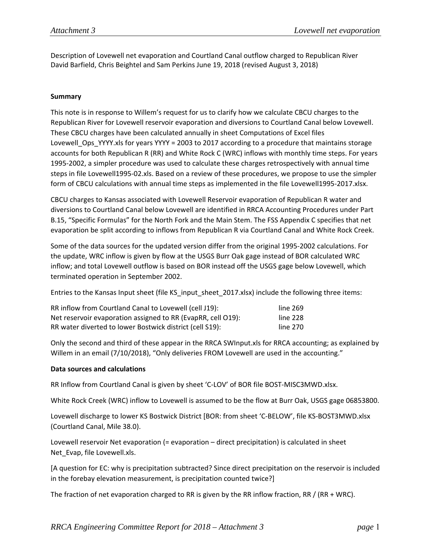Description of Lovewell net evaporation and Courtland Canal outflow charged to Republican River David Barfield, Chris Beightel and Sam Perkins June 19, 2018 (revised August 3, 2018)

### **Summary**

This note is in response to Willem's request for us to clarify how we calculate CBCU charges to the Republican River for Lovewell reservoir evaporation and diversions to Courtland Canal below Lovewell. These CBCU charges have been calculated annually in sheet Computations of Excel files Lovewell\_Ops\_YYYY.xls for years YYYY = 2003 to 2017 according to a procedure that maintains storage accounts for both Republican R (RR) and White Rock C (WRC) inflows with monthly time steps. For years 1995-2002, a simpler procedure was used to calculate these charges retrospectively with annual time steps in file Lovewell1995‐02.xls. Based on a review of these procedures, we propose to use the simpler form of CBCU calculations with annual time steps as implemented in the file Lovewell1995-2017.xlsx.

CBCU charges to Kansas associated with Lovewell Reservoir evaporation of Republican R water and diversions to Courtland Canal below Lovewell are identified in RRCA Accounting Procedures under Part B.15, "Specific Formulas" for the North Fork and the Main Stem. The FSS Appendix C specifies that net evaporation be split according to inflows from Republican R via Courtland Canal and White Rock Creek.

Some of the data sources for the updated version differ from the original 1995‐2002 calculations. For the update, WRC inflow is given by flow at the USGS Burr Oak gage instead of BOR calculated WRC inflow; and total Lovewell outflow is based on BOR instead off the USGS gage below Lovewell, which terminated operation in September 2002.

Entries to the Kansas Input sheet (file KS\_input\_sheet\_2017.xlsx) include the following three items:

| RR inflow from Courtland Canal to Lovewell (cell J19):       | line 269 |
|--------------------------------------------------------------|----------|
| Net reservoir evaporation assigned to RR (EvapRR, cell O19): | line 228 |
| RR water diverted to lower Bostwick district (cell S19):     | line 270 |

Only the second and third of these appear in the RRCA SWInput.xls for RRCA accounting; as explained by Willem in an email (7/10/2018), "Only deliveries FROM Lovewell are used in the accounting."

### **Data sources and calculations**

RR Inflow from Courtland Canal is given by sheet 'C-LOV' of BOR file BOST-MISC3MWD.xlsx.

White Rock Creek (WRC) inflow to Lovewell is assumed to be the flow at Burr Oak, USGS gage 06853800.

Lovewell discharge to lower KS Bostwick District [BOR: from sheet 'C‐BELOW', file KS‐BOST3MWD.xlsx (Courtland Canal, Mile 38.0).

Lovewell reservoir Net evaporation (= evaporation – direct precipitation) is calculated in sheet Net\_Evap, file Lovewell.xls.

[A question for EC: why is precipitation subtracted? Since direct precipitation on the reservoir is included in the forebay elevation measurement, is precipitation counted twice?]

The fraction of net evaporation charged to RR is given by the RR inflow fraction, RR / (RR + WRC).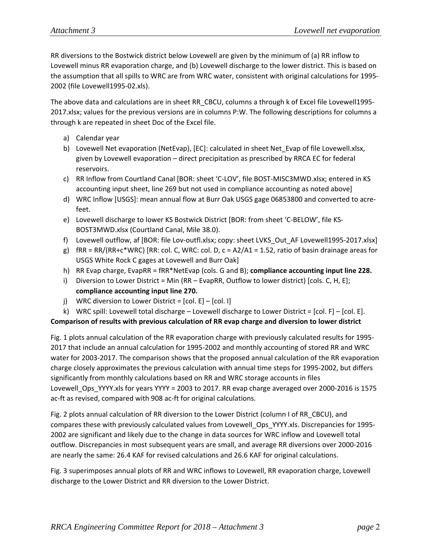RR diversions to the Bostwick district below Lovewell are given by the minimum of (a) RR inflow to Lovewell minus RR evaporation charge, and (b) Lovewell discharge to the lower district. This is based on the assumption that all spills to WRC are from WRC water, consistent with original calculations for 1995‐ 2002 (file Lovewell1995‐02.xls).

The above data and calculations are in sheet RR\_CBCU, columns a through k of Excel file Lovewell1995-2017.xlsx; values for the previous versions are in columns P:W. The following descriptions for columns a through k are repeated in sheet Doc of the Excel file.

- a) Calendar year
- b) Lovewell Net evaporation (NetEvap), [EC]: calculated in sheet Net\_Evap of file Lovewell.xlsx, given by Lovewell evaporation – direct precipitation as prescribed by RRCA EC for federal reservoirs.
- c) RR Inflow from Courtland Canal [BOR: sheet 'C-LOV', file BOST-MISC3MWD.xlsx; entered in KS accounting input sheet, line 269 but not used in compliance accounting as noted above]
- d) WRC Inflow [USGS]: mean annual flow at Burr Oak USGS gage 06853800 and converted to acre‐ feet.
- e) Lovewell discharge to lower KS Bostwick District [BOR: from sheet 'C‐BELOW', file KS‐ BOST3MWD.xlsx (Courtland Canal, Mile 38.0).
- f) Lovewell outflow, af [BOR: file Lov‐outfl.xlsx; copy: sheet LVKS\_Out\_AF Lovewell1995‐2017.xlsx]
- g) fRR = RR/(RR+c\*WRC) [RR: col. C, WRC: col. D, c = A2/A1 = 1.52, ratio of basin drainage areas for USGS White Rock C gages at Lovewell and Burr Oak]
- h) RR Evap charge, EvapRR = fRR\*NetEvap (cols. G and B); **compliance accounting input line 228.**
- i) Diversion to Lower District = Min (RR EvapRR, Outflow to lower district) [cols. C, H, E]; **compliance accounting input line 270.**
- j) WRC diversion to Lower District =  $[col. E] [col. I]$
- k) WRC spill: Lovewell total discharge Lovewell discharge to Lower District = [col. F] [col. E].

## **Comparison of results with previous calculation of RR evap charge and diversion to lower district**

Fig. 1 plots annual calculation of the RR evaporation charge with previously calculated results for 1995‐ 2017 that include an annual calculation for 1995‐2002 and monthly accounting of stored RR and WRC water for 2003-2017. The comparison shows that the proposed annual calculation of the RR evaporation charge closely approximates the previous calculation with annual time steps for 1995‐2002, but differs significantly from monthly calculations based on RR and WRC storage accounts in files Lovewell\_Ops\_YYYY.xls for years YYYY = 2003 to 2017. RR evap charge averaged over 2000-2016 is 1575 ac‐ft as revised, compared with 908 ac‐ft for original calculations.

Fig. 2 plots annual calculation of RR diversion to the Lower District (column I of RR\_CBCU), and compares these with previously calculated values from Lovewell\_Ops\_YYYY.xls. Discrepancies for 1995‐ 2002 are significant and likely due to the change in data sources for WRC inflow and Lovewell total outflow. Discrepancies in most subsequent years are small, and average RR diversions over 2000‐2016 are nearly the same: 26.4 KAF for revised calculations and 26.6 KAF for original calculations.

Fig. 3 superimposes annual plots of RR and WRC inflows to Lovewell, RR evaporation charge, Lovewell discharge to the Lower District and RR diversion to the Lower District.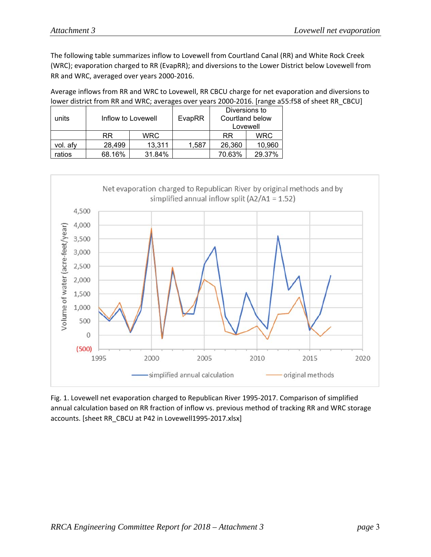The following table summarizes inflow to Lovewell from Courtland Canal (RR) and White Rock Creek (WRC); evaporation charged to RR (EvapRR); and diversions to the Lower District below Lovewell from RR and WRC, averaged over years 2000‐2016.

Average inflows from RR and WRC to Lovewell, RR CBCU charge for net evaporation and diversions to lower district from RR and WRC; averages over years 2000-2016. [range a55:f58 of sheet RR\_CBCU]

| units    |           | Inflow to Lovewell | EvapRR | Diversions to<br>Courtland below<br>Lovewell |            |
|----------|-----------|--------------------|--------|----------------------------------------------|------------|
|          | <b>RR</b> | <b>WRC</b>         |        | <b>RR</b>                                    | <b>WRC</b> |
| vol. afy | 28,499    | 13,311             | 1,587  | 26,360                                       | 10,960     |
| ratios   | 68.16%    | 31.84%             |        | 70.63%                                       | 29.37%     |



Fig. 1. Lovewell net evaporation charged to Republican River 1995‐2017. Comparison of simplified annual calculation based on RR fraction of inflow vs. previous method of tracking RR and WRC storage accounts. [sheet RR\_CBCU at P42 in Lovewell1995‐2017.xlsx]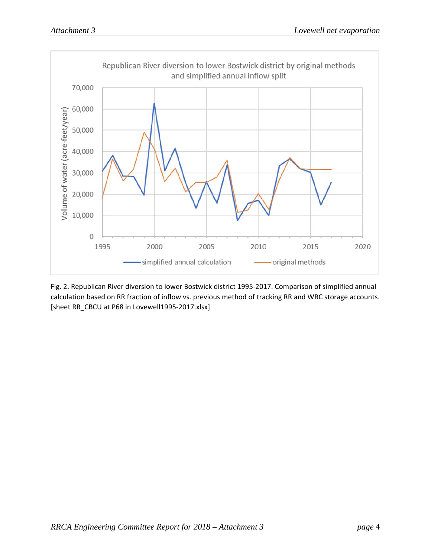

Fig. 2. Republican River diversion to lower Bostwick district 1995‐2017. Comparison of simplified annual calculation based on RR fraction of inflow vs. previous method of tracking RR and WRC storage accounts. [sheet RR\_CBCU at P68 in Lovewell1995‐2017.xlsx]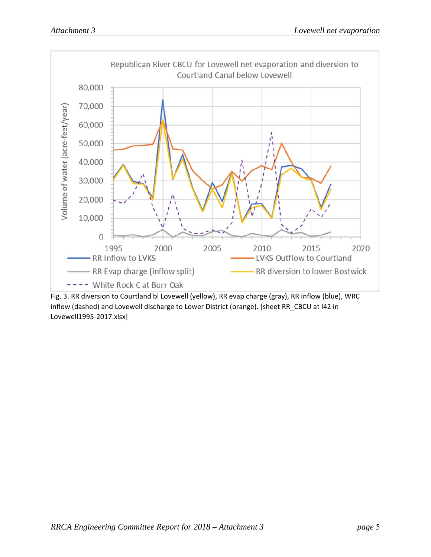

Fig. 3. RR diversion to Courtland bl Lovewell (yellow), RR evap charge (gray), RR inflow (blue), WRC inflow (dashed) and Lovewell discharge to Lower District (orange). [sheet RR\_CBCU at I42 in Lovewell1995‐2017.xlsx]